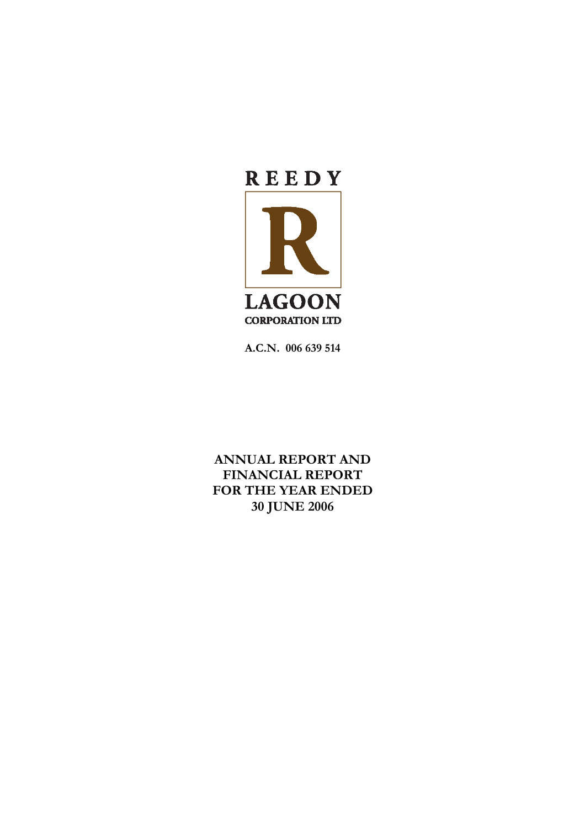

**A.C.N. 006 639 514** 

**ANNUAL REPORT AND FINANCIAL REPORT FOR THE YEAR ENDED 30 JUNE 2006**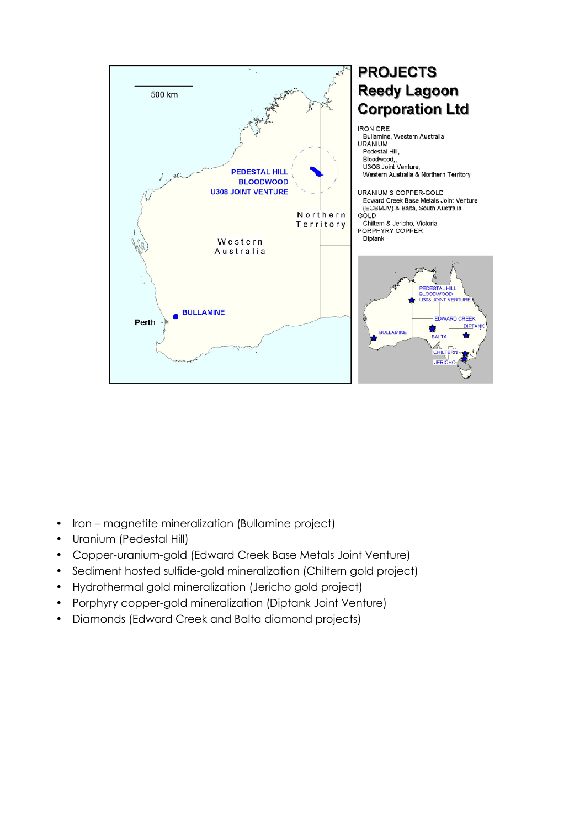

- Iron magnetite mineralization (Bullamine project)
- Uranium (Pedestal Hill)
- Copper-uranium-gold (Edward Creek Base Metals Joint Venture)
- Sediment hosted sulfide-gold mineralization (Chiltern gold project)
- Hydrothermal gold mineralization (Jericho gold project)
- Porphyry copper-gold mineralization (Diptank Joint Venture)
- Diamonds (Edward Creek and Balta diamond projects)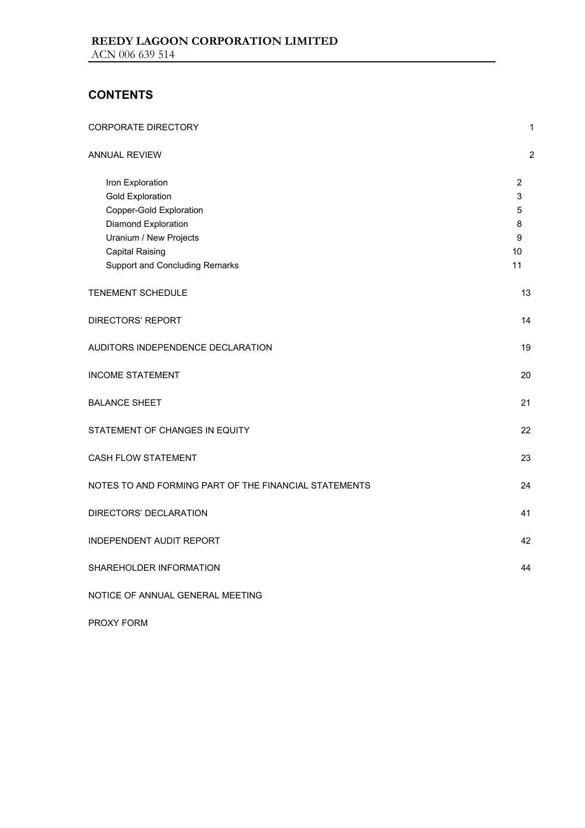# **CONTENTS**

| <b>CORPORATE DIRECTORY</b>                                                                                                                                                                 | 1                                              |
|--------------------------------------------------------------------------------------------------------------------------------------------------------------------------------------------|------------------------------------------------|
| ANNUAL REVIEW                                                                                                                                                                              | $\sqrt{2}$                                     |
| Iron Exploration<br><b>Gold Exploration</b><br>Copper-Gold Exploration<br>Diamond Exploration<br>Uranium / New Projects<br><b>Capital Raising</b><br><b>Support and Concluding Remarks</b> | $\overline{2}$<br>3<br>5<br>8<br>9<br>10<br>11 |
| TENEMENT SCHEDULE                                                                                                                                                                          | 13                                             |
| DIRECTORS' REPORT                                                                                                                                                                          | 14                                             |
| AUDITORS INDEPENDENCE DECLARATION                                                                                                                                                          | 19                                             |
| <b>INCOME STATEMENT</b>                                                                                                                                                                    | 20                                             |
| <b>BALANCE SHEET</b>                                                                                                                                                                       | 21                                             |
| STATEMENT OF CHANGES IN EQUITY                                                                                                                                                             | 22                                             |
| <b>CASH FLOW STATEMENT</b>                                                                                                                                                                 | 23                                             |
| NOTES TO AND FORMING PART OF THE FINANCIAL STATEMENTS                                                                                                                                      | 24                                             |
| DIRECTORS' DECLARATION                                                                                                                                                                     | 41                                             |
| INDEPENDENT AUDIT REPORT                                                                                                                                                                   | 42                                             |
| SHAREHOLDER INFORMATION                                                                                                                                                                    | 44                                             |
| NOTICE OF ANNUAL GENERAL MEETING                                                                                                                                                           |                                                |

PROXY FORM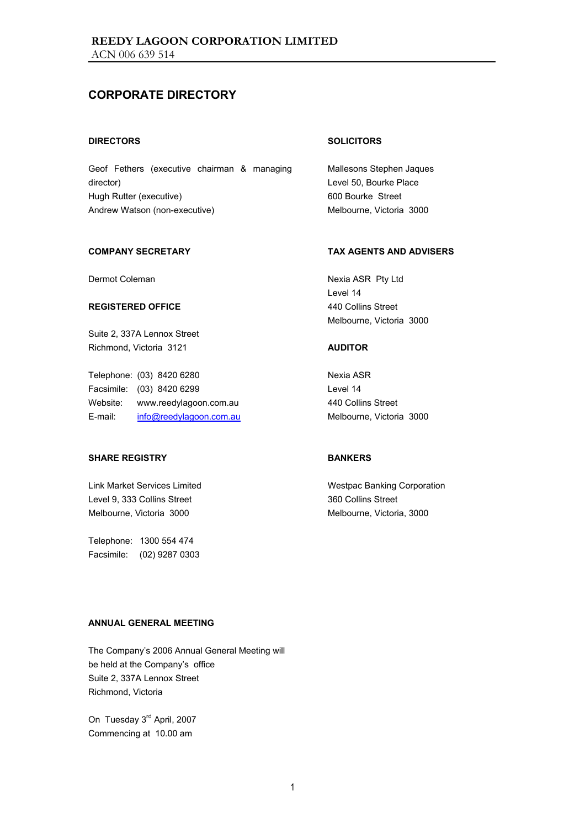## **CORPORATE DIRECTORY**

#### **DIRECTORS**

Geof Fethers (executive chairman & managing director) Hugh Rutter (executive) Andrew Watson (non-executive)

#### **COMPANY SECRETARY**

Dermot Coleman

#### **REGISTERED OFFICE**

Suite 2, 337A Lennox Street Richmond, Victoria 3121

Telephone: (03) 8420 6280 Facsimile: (03) 8420 6299 Website: www.reedylagoon.com.au E-mail: info@reedylagoon.com.au

### **SHARE REGISTRY**

Link Market Services Limited Level 9, 333 Collins Street Melbourne, Victoria 3000

Telephone: 1300 554 474 Facsimile: (02) 9287 0303

#### **SOLICITORS**

Mallesons Stephen Jaques Level 50, Bourke Place 600 Bourke Street Melbourne, Victoria 3000

#### **TAX AGENTS AND ADVISERS**

Nexia ASR Pty Ltd Level 14 440 Collins Street Melbourne, Victoria 3000

#### **AUDITOR**

Nexia ASR Level 14 440 Collins Street Melbourne, Victoria 3000

#### **BANKERS**

Westpac Banking Corporation 360 Collins Street Melbourne, Victoria, 3000

#### **ANNUAL GENERAL MEETING**

The Company's 2006 Annual General Meeting will be held at the Company's office Suite 2, 337A Lennox Street Richmond, Victoria

On Tuesday 3<sup>rd</sup> April, 2007 Commencing at 10.00 am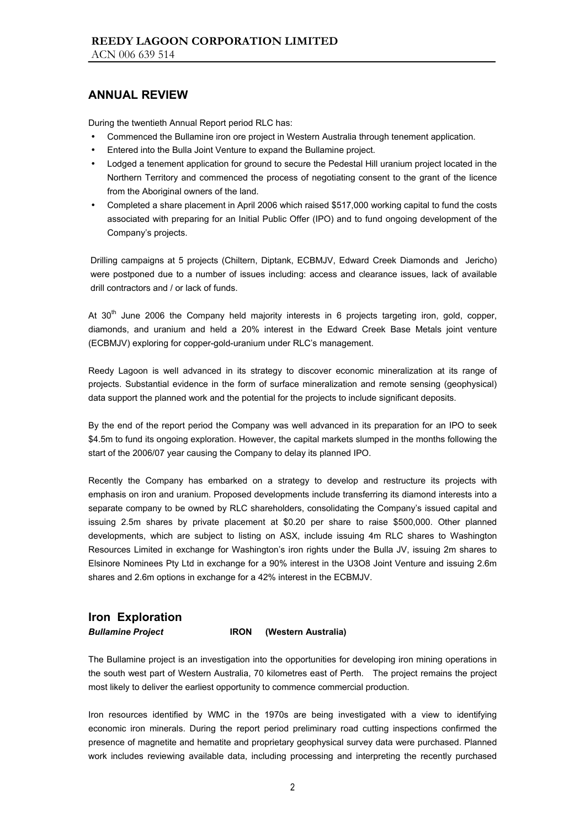During the twentieth Annual Report period RLC has:

- Commenced the Bullamine iron ore project in Western Australia through tenement application.
- Entered into the Bulla Joint Venture to expand the Bullamine project.
- Lodged a tenement application for ground to secure the Pedestal Hill uranium project located in the Northern Territory and commenced the process of negotiating consent to the grant of the licence from the Aboriginal owners of the land.
- Completed a share placement in April 2006 which raised \$517,000 working capital to fund the costs associated with preparing for an Initial Public Offer (IPO) and to fund ongoing development of the Company's projects.

Drilling campaigns at 5 projects (Chiltern, Diptank, ECBMJV, Edward Creek Diamonds and Jericho) were postponed due to a number of issues including: access and clearance issues, lack of available drill contractors and / or lack of funds.

At 30<sup>th</sup> June 2006 the Company held majority interests in 6 projects targeting iron, gold, copper, diamonds, and uranium and held a 20% interest in the Edward Creek Base Metals joint venture (ECBMJV) exploring for copper-gold-uranium under RLC's management.

Reedy Lagoon is well advanced in its strategy to discover economic mineralization at its range of projects. Substantial evidence in the form of surface mineralization and remote sensing (geophysical) data support the planned work and the potential for the projects to include significant deposits.

By the end of the report period the Company was well advanced in its preparation for an IPO to seek \$4.5m to fund its ongoing exploration. However, the capital markets slumped in the months following the start of the 2006/07 year causing the Company to delay its planned IPO.

Recently the Company has embarked on a strategy to develop and restructure its projects with emphasis on iron and uranium. Proposed developments include transferring its diamond interests into a separate company to be owned by RLC shareholders, consolidating the Company's issued capital and issuing 2.5m shares by private placement at \$0.20 per share to raise \$500,000. Other planned developments, which are subject to listing on ASX, include issuing 4m RLC shares to Washington Resources Limited in exchange for Washington's iron rights under the Bulla JV, issuing 2m shares to Elsinore Nominees Pty Ltd in exchange for a 90% interest in the U3O8 Joint Venture and issuing 2.6m shares and 2.6m options in exchange for a 42% interest in the ECBMJV.

## **Iron Exploration**

*Bullamine Project* **IRON (Western Australia)** 

The Bullamine project is an investigation into the opportunities for developing iron mining operations in the south west part of Western Australia, 70 kilometres east of Perth. The project remains the project most likely to deliver the earliest opportunity to commence commercial production.

Iron resources identified by WMC in the 1970s are being investigated with a view to identifying economic iron minerals. During the report period preliminary road cutting inspections confirmed the presence of magnetite and hematite and proprietary geophysical survey data were purchased. Planned work includes reviewing available data, including processing and interpreting the recently purchased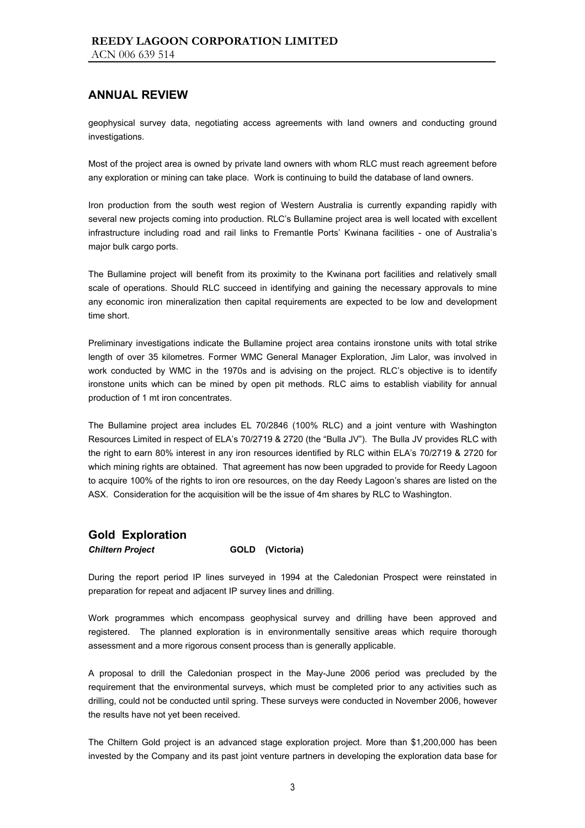geophysical survey data, negotiating access agreements with land owners and conducting ground investigations.

Most of the project area is owned by private land owners with whom RLC must reach agreement before any exploration or mining can take place. Work is continuing to build the database of land owners.

Iron production from the south west region of Western Australia is currently expanding rapidly with several new projects coming into production. RLC's Bullamine project area is well located with excellent infrastructure including road and rail links to Fremantle Ports' Kwinana facilities - one of Australia's major bulk cargo ports.

The Bullamine project will benefit from its proximity to the Kwinana port facilities and relatively small scale of operations. Should RLC succeed in identifying and gaining the necessary approvals to mine any economic iron mineralization then capital requirements are expected to be low and development time short.

Preliminary investigations indicate the Bullamine project area contains ironstone units with total strike length of over 35 kilometres. Former WMC General Manager Exploration, Jim Lalor, was involved in work conducted by WMC in the 1970s and is advising on the project. RLC's objective is to identify ironstone units which can be mined by open pit methods. RLC aims to establish viability for annual production of 1 mt iron concentrates.

The Bullamine project area includes EL 70/2846 (100% RLC) and a joint venture with Washington Resources Limited in respect of ELA's 70/2719 & 2720 (the "Bulla JV"). The Bulla JV provides RLC with the right to earn 80% interest in any iron resources identified by RLC within ELA's 70/2719 & 2720 for which mining rights are obtained. That agreement has now been upgraded to provide for Reedy Lagoon to acquire 100% of the rights to iron ore resources, on the day Reedy Lagoon's shares are listed on the ASX. Consideration for the acquisition will be the issue of 4m shares by RLC to Washington.

## **Gold Exploration**

#### *Chiltern Project* **GOLD (Victoria)**

During the report period IP lines surveyed in 1994 at the Caledonian Prospect were reinstated in preparation for repeat and adjacent IP survey lines and drilling.

Work programmes which encompass geophysical survey and drilling have been approved and registered. The planned exploration is in environmentally sensitive areas which require thorough assessment and a more rigorous consent process than is generally applicable.

A proposal to drill the Caledonian prospect in the May-June 2006 period was precluded by the requirement that the environmental surveys, which must be completed prior to any activities such as drilling, could not be conducted until spring. These surveys were conducted in November 2006, however the results have not yet been received.

The Chiltern Gold project is an advanced stage exploration project. More than \$1,200,000 has been invested by the Company and its past joint venture partners in developing the exploration data base for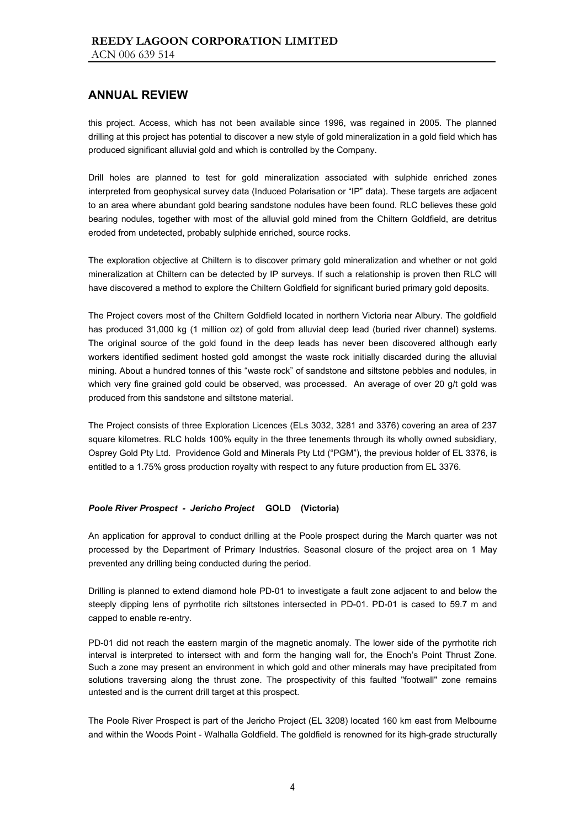this project. Access, which has not been available since 1996, was regained in 2005. The planned drilling at this project has potential to discover a new style of gold mineralization in a gold field which has produced significant alluvial gold and which is controlled by the Company.

Drill holes are planned to test for gold mineralization associated with sulphide enriched zones interpreted from geophysical survey data (Induced Polarisation or "IP" data). These targets are adjacent to an area where abundant gold bearing sandstone nodules have been found. RLC believes these gold bearing nodules, together with most of the alluvial gold mined from the Chiltern Goldfield, are detritus eroded from undetected, probably sulphide enriched, source rocks.

The exploration objective at Chiltern is to discover primary gold mineralization and whether or not gold mineralization at Chiltern can be detected by IP surveys. If such a relationship is proven then RLC will have discovered a method to explore the Chiltern Goldfield for significant buried primary gold deposits.

The Project covers most of the Chiltern Goldfield located in northern Victoria near Albury. The goldfield has produced 31,000 kg (1 million oz) of gold from alluvial deep lead (buried river channel) systems. The original source of the gold found in the deep leads has never been discovered although early workers identified sediment hosted gold amongst the waste rock initially discarded during the alluvial mining. About a hundred tonnes of this "waste rock" of sandstone and siltstone pebbles and nodules, in which very fine grained gold could be observed, was processed. An average of over 20 g/t gold was produced from this sandstone and siltstone material.

The Project consists of three Exploration Licences (ELs 3032, 3281 and 3376) covering an area of 237 square kilometres. RLC holds 100% equity in the three tenements through its wholly owned subsidiary, Osprey Gold Pty Ltd. Providence Gold and Minerals Pty Ltd ("PGM"), the previous holder of EL 3376, is entitled to a 1.75% gross production royalty with respect to any future production from EL 3376.

#### *Poole River Prospect - Jericho Project* **GOLD (Victoria)**

An application for approval to conduct drilling at the Poole prospect during the March quarter was not processed by the Department of Primary Industries. Seasonal closure of the project area on 1 May prevented any drilling being conducted during the period.

Drilling is planned to extend diamond hole PD-01 to investigate a fault zone adjacent to and below the steeply dipping lens of pyrrhotite rich siltstones intersected in PD-01. PD-01 is cased to 59.7 m and capped to enable re-entry.

PD-01 did not reach the eastern margin of the magnetic anomaly. The lower side of the pyrrhotite rich interval is interpreted to intersect with and form the hanging wall for, the Enoch's Point Thrust Zone. Such a zone may present an environment in which gold and other minerals may have precipitated from solutions traversing along the thrust zone. The prospectivity of this faulted "footwall" zone remains untested and is the current drill target at this prospect.

The Poole River Prospect is part of the Jericho Project (EL 3208) located 160 km east from Melbourne and within the Woods Point - Walhalla Goldfield. The goldfield is renowned for its high-grade structurally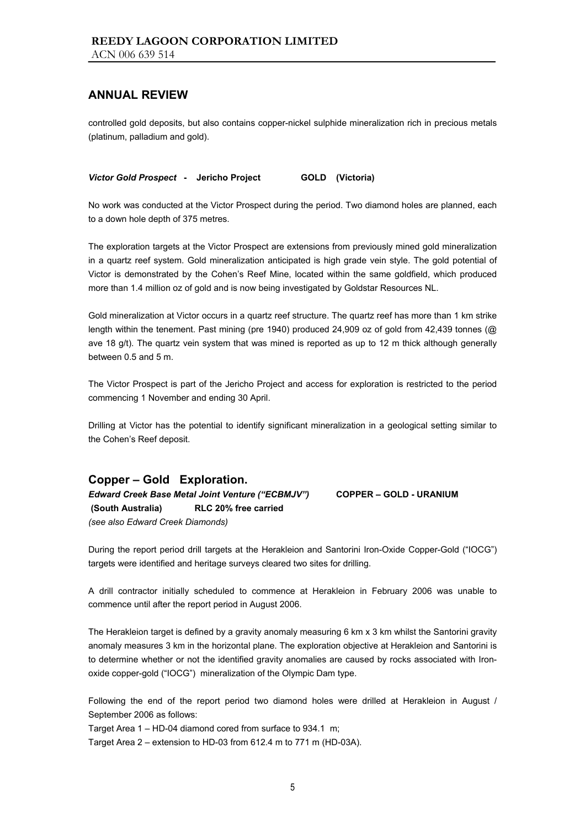controlled gold deposits, but also contains copper-nickel sulphide mineralization rich in precious metals (platinum, palladium and gold).

*Victor Gold Prospect* **- Jericho Project GOLD (Victoria)** 

No work was conducted at the Victor Prospect during the period. Two diamond holes are planned, each to a down hole depth of 375 metres.

The exploration targets at the Victor Prospect are extensions from previously mined gold mineralization in a quartz reef system. Gold mineralization anticipated is high grade vein style. The gold potential of Victor is demonstrated by the Cohen's Reef Mine, located within the same goldfield, which produced more than 1.4 million oz of gold and is now being investigated by Goldstar Resources NL.

Gold mineralization at Victor occurs in a quartz reef structure. The quartz reef has more than 1 km strike length within the tenement. Past mining (pre 1940) produced 24,909 oz of gold from 42,439 tonnes (@ ave 18 g/t). The quartz vein system that was mined is reported as up to 12 m thick although generally between 0.5 and 5 m.

The Victor Prospect is part of the Jericho Project and access for exploration is restricted to the period commencing 1 November and ending 30 April.

Drilling at Victor has the potential to identify significant mineralization in a geological setting similar to the Cohen's Reef deposit.

## **Copper – Gold Exploration.**

*Edward Creek Base Metal Joint Venture ("ECBMJV")* **COPPER – GOLD - URANIUM (South Australia) RLC 20% free carried** *(see also Edward Creek Diamonds)* 

During the report period drill targets at the Herakleion and Santorini Iron-Oxide Copper-Gold ("IOCG") targets were identified and heritage surveys cleared two sites for drilling.

A drill contractor initially scheduled to commence at Herakleion in February 2006 was unable to commence until after the report period in August 2006.

The Herakleion target is defined by a gravity anomaly measuring 6 km x 3 km whilst the Santorini gravity anomaly measures 3 km in the horizontal plane. The exploration objective at Herakleion and Santorini is to determine whether or not the identified gravity anomalies are caused by rocks associated with Ironoxide copper-gold ("IOCG") mineralization of the Olympic Dam type.

Following the end of the report period two diamond holes were drilled at Herakleion in August / September 2006 as follows:

Target Area 1 – HD-04 diamond cored from surface to 934.1 m;

Target Area 2 – extension to HD-03 from 612.4 m to 771 m (HD-03A).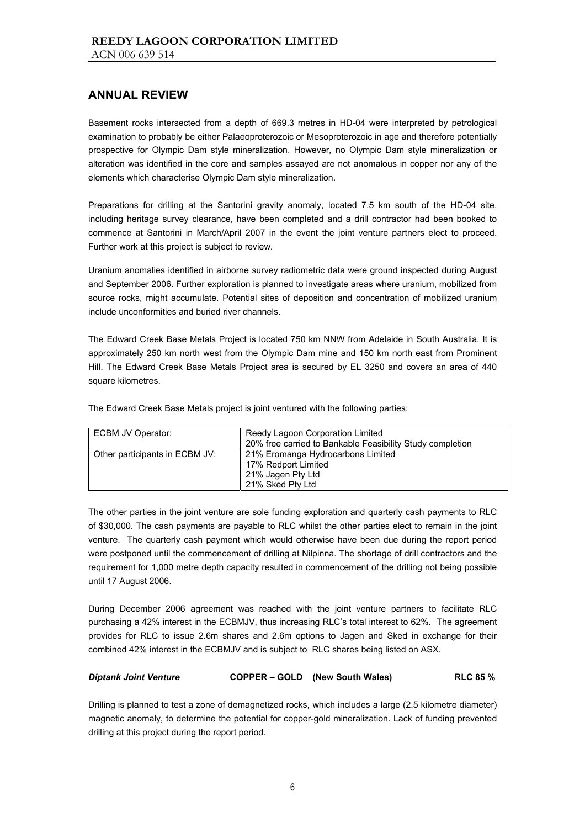Basement rocks intersected from a depth of 669.3 metres in HD-04 were interpreted by petrological examination to probably be either Palaeoproterozoic or Mesoproterozoic in age and therefore potentially prospective for Olympic Dam style mineralization. However, no Olympic Dam style mineralization or alteration was identified in the core and samples assayed are not anomalous in copper nor any of the elements which characterise Olympic Dam style mineralization.

Preparations for drilling at the Santorini gravity anomaly, located 7.5 km south of the HD-04 site, including heritage survey clearance, have been completed and a drill contractor had been booked to commence at Santorini in March/April 2007 in the event the joint venture partners elect to proceed. Further work at this project is subject to review.

Uranium anomalies identified in airborne survey radiometric data were ground inspected during August and September 2006. Further exploration is planned to investigate areas where uranium, mobilized from source rocks, might accumulate. Potential sites of deposition and concentration of mobilized uranium include unconformities and buried river channels.

The Edward Creek Base Metals Project is located 750 km NNW from Adelaide in South Australia. It is approximately 250 km north west from the Olympic Dam mine and 150 km north east from Prominent Hill. The Edward Creek Base Metals Project area is secured by EL 3250 and covers an area of 440 square kilometres.

The Edward Creek Base Metals project is joint ventured with the following parties:

| ECBM JV Operator:              | Reedy Lagoon Corporation Limited<br>20% free carried to Bankable Feasibility Study completion     |
|--------------------------------|---------------------------------------------------------------------------------------------------|
| Other participants in ECBM JV: | 21% Eromanga Hydrocarbons Limited<br>17% Redport Limited<br>21% Jagen Pty Ltd<br>21% Sked Pty Ltd |

The other parties in the joint venture are sole funding exploration and quarterly cash payments to RLC of \$30,000. The cash payments are payable to RLC whilst the other parties elect to remain in the joint venture. The quarterly cash payment which would otherwise have been due during the report period were postponed until the commencement of drilling at Nilpinna. The shortage of drill contractors and the requirement for 1,000 metre depth capacity resulted in commencement of the drilling not being possible until 17 August 2006.

During December 2006 agreement was reached with the joint venture partners to facilitate RLC purchasing a 42% interest in the ECBMJV, thus increasing RLC's total interest to 62%. The agreement provides for RLC to issue 2.6m shares and 2.6m options to Jagen and Sked in exchange for their combined 42% interest in the ECBMJV and is subject to RLC shares being listed on ASX.

#### *Diptank Joint Venture* **COPPER – GOLD (New South Wales) RLC 85 %**

Drilling is planned to test a zone of demagnetized rocks, which includes a large (2.5 kilometre diameter) magnetic anomaly, to determine the potential for copper-gold mineralization. Lack of funding prevented drilling at this project during the report period.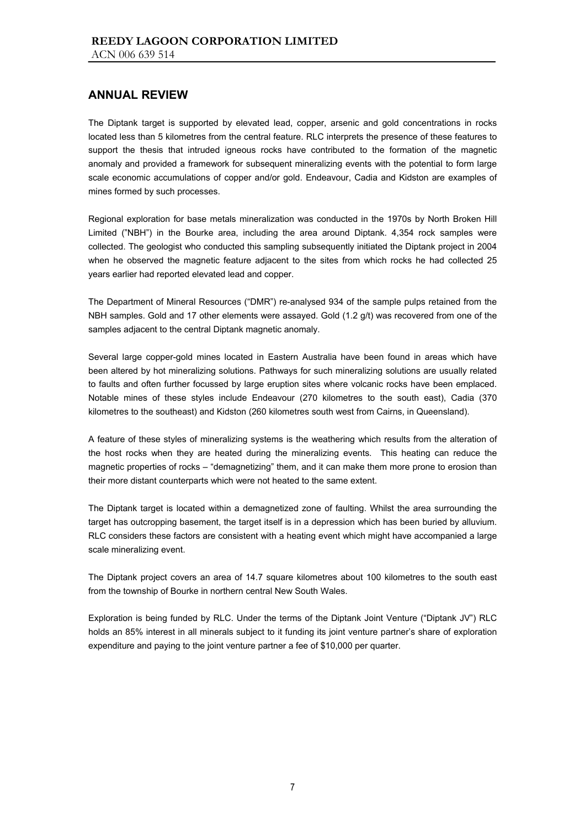The Diptank target is supported by elevated lead, copper, arsenic and gold concentrations in rocks located less than 5 kilometres from the central feature. RLC interprets the presence of these features to support the thesis that intruded igneous rocks have contributed to the formation of the magnetic anomaly and provided a framework for subsequent mineralizing events with the potential to form large scale economic accumulations of copper and/or gold. Endeavour, Cadia and Kidston are examples of mines formed by such processes.

Regional exploration for base metals mineralization was conducted in the 1970s by North Broken Hill Limited ("NBH") in the Bourke area, including the area around Diptank. 4,354 rock samples were collected. The geologist who conducted this sampling subsequently initiated the Diptank project in 2004 when he observed the magnetic feature adjacent to the sites from which rocks he had collected 25 years earlier had reported elevated lead and copper.

The Department of Mineral Resources ("DMR") re-analysed 934 of the sample pulps retained from the NBH samples. Gold and 17 other elements were assayed. Gold (1.2 g/t) was recovered from one of the samples adjacent to the central Diptank magnetic anomaly.

Several large copper-gold mines located in Eastern Australia have been found in areas which have been altered by hot mineralizing solutions. Pathways for such mineralizing solutions are usually related to faults and often further focussed by large eruption sites where volcanic rocks have been emplaced. Notable mines of these styles include Endeavour (270 kilometres to the south east), Cadia (370 kilometres to the southeast) and Kidston (260 kilometres south west from Cairns, in Queensland).

A feature of these styles of mineralizing systems is the weathering which results from the alteration of the host rocks when they are heated during the mineralizing events. This heating can reduce the magnetic properties of rocks – "demagnetizing" them, and it can make them more prone to erosion than their more distant counterparts which were not heated to the same extent.

The Diptank target is located within a demagnetized zone of faulting. Whilst the area surrounding the target has outcropping basement, the target itself is in a depression which has been buried by alluvium. RLC considers these factors are consistent with a heating event which might have accompanied a large scale mineralizing event.

The Diptank project covers an area of 14.7 square kilometres about 100 kilometres to the south east from the township of Bourke in northern central New South Wales.

Exploration is being funded by RLC. Under the terms of the Diptank Joint Venture ("Diptank JV") RLC holds an 85% interest in all minerals subject to it funding its joint venture partner's share of exploration expenditure and paying to the joint venture partner a fee of \$10,000 per quarter.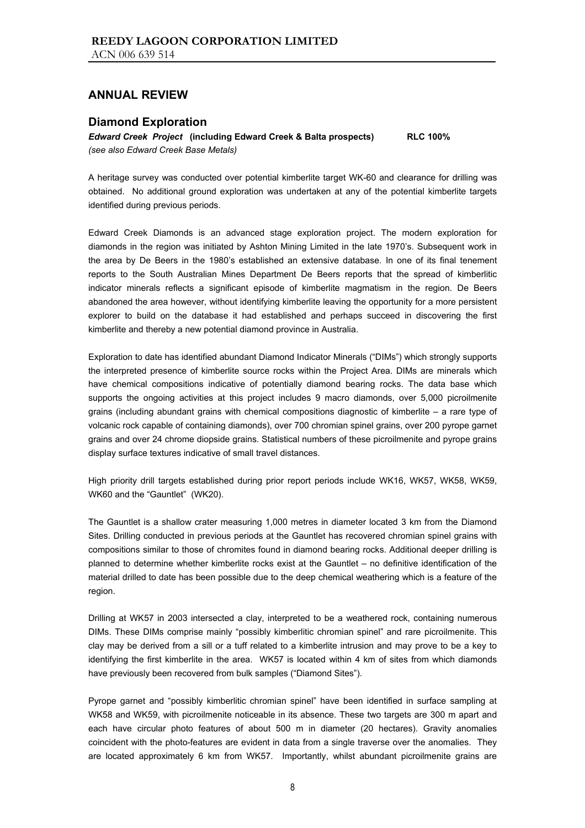### **Diamond Exploration**

*Edward Creek Project* **(including Edward Creek & Balta prospects) RLC 100%**  *(see also Edward Creek Base Metals)* 

A heritage survey was conducted over potential kimberlite target WK-60 and clearance for drilling was obtained. No additional ground exploration was undertaken at any of the potential kimberlite targets identified during previous periods.

Edward Creek Diamonds is an advanced stage exploration project. The modern exploration for diamonds in the region was initiated by Ashton Mining Limited in the late 1970's. Subsequent work in the area by De Beers in the 1980's established an extensive database. In one of its final tenement reports to the South Australian Mines Department De Beers reports that the spread of kimberlitic indicator minerals reflects a significant episode of kimberlite magmatism in the region. De Beers abandoned the area however, without identifying kimberlite leaving the opportunity for a more persistent explorer to build on the database it had established and perhaps succeed in discovering the first kimberlite and thereby a new potential diamond province in Australia.

Exploration to date has identified abundant Diamond Indicator Minerals ("DIMs") which strongly supports the interpreted presence of kimberlite source rocks within the Project Area. DIMs are minerals which have chemical compositions indicative of potentially diamond bearing rocks. The data base which supports the ongoing activities at this project includes 9 macro diamonds, over 5,000 picroilmenite grains (including abundant grains with chemical compositions diagnostic of kimberlite – a rare type of volcanic rock capable of containing diamonds), over 700 chromian spinel grains, over 200 pyrope garnet grains and over 24 chrome diopside grains. Statistical numbers of these picroilmenite and pyrope grains display surface textures indicative of small travel distances.

High priority drill targets established during prior report periods include WK16, WK57, WK58, WK59, WK60 and the "Gauntlet" (WK20).

The Gauntlet is a shallow crater measuring 1,000 metres in diameter located 3 km from the Diamond Sites. Drilling conducted in previous periods at the Gauntlet has recovered chromian spinel grains with compositions similar to those of chromites found in diamond bearing rocks. Additional deeper drilling is planned to determine whether kimberlite rocks exist at the Gauntlet – no definitive identification of the material drilled to date has been possible due to the deep chemical weathering which is a feature of the region.

Drilling at WK57 in 2003 intersected a clay, interpreted to be a weathered rock, containing numerous DIMs. These DIMs comprise mainly "possibly kimberlitic chromian spinel" and rare picroilmenite. This clay may be derived from a sill or a tuff related to a kimberlite intrusion and may prove to be a key to identifying the first kimberlite in the area. WK57 is located within 4 km of sites from which diamonds have previously been recovered from bulk samples ("Diamond Sites").

Pyrope garnet and "possibly kimberlitic chromian spinel" have been identified in surface sampling at WK58 and WK59, with picroilmenite noticeable in its absence. These two targets are 300 m apart and each have circular photo features of about 500 m in diameter (20 hectares). Gravity anomalies coincident with the photo-features are evident in data from a single traverse over the anomalies. They are located approximately 6 km from WK57. Importantly, whilst abundant picroilmenite grains are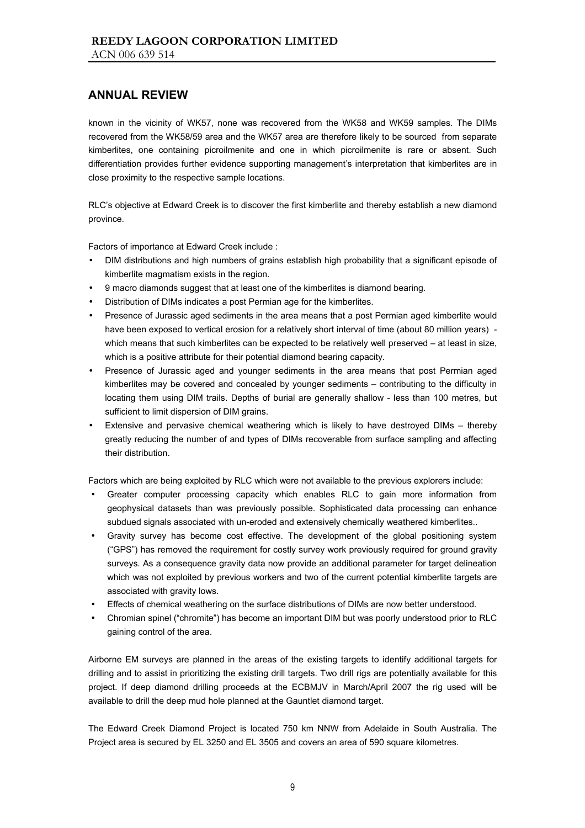known in the vicinity of WK57, none was recovered from the WK58 and WK59 samples. The DIMs recovered from the WK58/59 area and the WK57 area are therefore likely to be sourced from separate kimberlites, one containing picroilmenite and one in which picroilmenite is rare or absent. Such differentiation provides further evidence supporting management's interpretation that kimberlites are in close proximity to the respective sample locations.

RLC's objective at Edward Creek is to discover the first kimberlite and thereby establish a new diamond province.

Factors of importance at Edward Creek include :

- DIM distributions and high numbers of grains establish high probability that a significant episode of kimberlite magmatism exists in the region.
- 9 macro diamonds suggest that at least one of the kimberlites is diamond bearing.
- Distribution of DIMs indicates a post Permian age for the kimberlites.
- Presence of Jurassic aged sediments in the area means that a post Permian aged kimberlite would have been exposed to vertical erosion for a relatively short interval of time (about 80 million years) which means that such kimberlites can be expected to be relatively well preserved – at least in size, which is a positive attribute for their potential diamond bearing capacity.
- Presence of Jurassic aged and younger sediments in the area means that post Permian aged kimberlites may be covered and concealed by younger sediments – contributing to the difficulty in locating them using DIM trails. Depths of burial are generally shallow - less than 100 metres, but sufficient to limit dispersion of DIM grains.
- Extensive and pervasive chemical weathering which is likely to have destroyed DIMs thereby greatly reducing the number of and types of DIMs recoverable from surface sampling and affecting their distribution.

Factors which are being exploited by RLC which were not available to the previous explorers include:

- Greater computer processing capacity which enables RLC to gain more information from geophysical datasets than was previously possible. Sophisticated data processing can enhance subdued signals associated with un-eroded and extensively chemically weathered kimberlites..
- Gravity survey has become cost effective. The development of the global positioning system ("GPS") has removed the requirement for costly survey work previously required for ground gravity surveys. As a consequence gravity data now provide an additional parameter for target delineation which was not exploited by previous workers and two of the current potential kimberlite targets are associated with gravity lows.
- Effects of chemical weathering on the surface distributions of DIMs are now better understood.
- Chromian spinel ("chromite") has become an important DIM but was poorly understood prior to RLC gaining control of the area.

Airborne EM surveys are planned in the areas of the existing targets to identify additional targets for drilling and to assist in prioritizing the existing drill targets. Two drill rigs are potentially available for this project. If deep diamond drilling proceeds at the ECBMJV in March/April 2007 the rig used will be available to drill the deep mud hole planned at the Gauntlet diamond target.

The Edward Creek Diamond Project is located 750 km NNW from Adelaide in South Australia. The Project area is secured by EL 3250 and EL 3505 and covers an area of 590 square kilometres.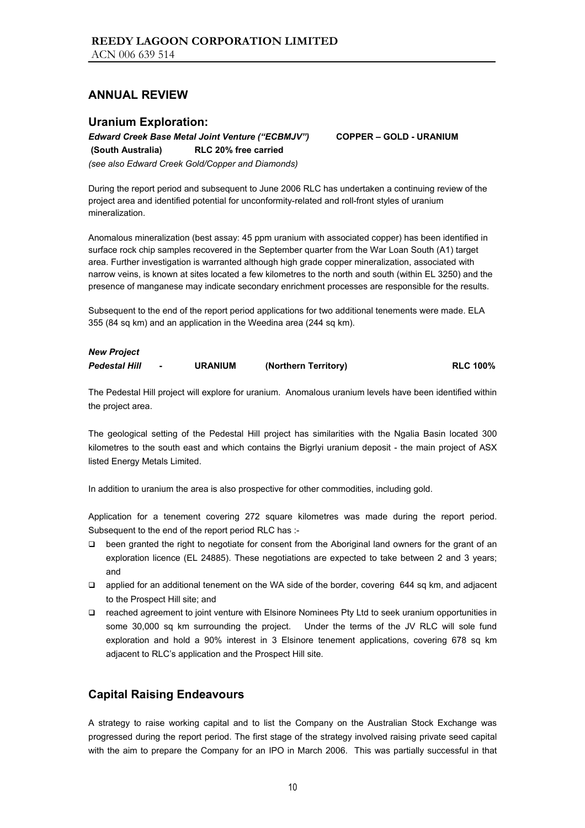### **Uranium Exploration:**

*Edward Creek Base Metal Joint Venture ("ECBMJV")* **COPPER – GOLD - URANIUM** 

**(South Australia) RLC 20% free carried**

*(see also Edward Creek Gold/Copper and Diamonds)* 

During the report period and subsequent to June 2006 RLC has undertaken a continuing review of the project area and identified potential for unconformity-related and roll-front styles of uranium mineralization.

Anomalous mineralization (best assay: 45 ppm uranium with associated copper) has been identified in surface rock chip samples recovered in the September quarter from the War Loan South (A1) target area. Further investigation is warranted although high grade copper mineralization, associated with narrow veins, is known at sites located a few kilometres to the north and south (within EL 3250) and the presence of manganese may indicate secondary enrichment processes are responsible for the results.

Subsequent to the end of the report period applications for two additional tenements were made. ELA 355 (84 sq km) and an application in the Weedina area (244 sq km).

## *New Project Pedestal Hill* **- URANIUM (Northern Territory) RLC 100%**

The Pedestal Hill project will explore for uranium. Anomalous uranium levels have been identified within the project area.

The geological setting of the Pedestal Hill project has similarities with the Ngalia Basin located 300 kilometres to the south east and which contains the Bigrlyi uranium deposit - the main project of ASX listed Energy Metals Limited.

In addition to uranium the area is also prospective for other commodities, including gold.

Application for a tenement covering 272 square kilometres was made during the report period. Subsequent to the end of the report period RLC has :-

- been granted the right to negotiate for consent from the Aboriginal land owners for the grant of an exploration licence (EL 24885). These negotiations are expected to take between 2 and 3 years; and
- applied for an additional tenement on the WA side of the border, covering 644 sq km, and adjacent to the Prospect Hill site; and
- reached agreement to joint venture with Elsinore Nominees Pty Ltd to seek uranium opportunities in some 30,000 sq km surrounding the project. Under the terms of the JV RLC will sole fund exploration and hold a 90% interest in 3 Elsinore tenement applications, covering 678 sq km adjacent to RLC's application and the Prospect Hill site.

## **Capital Raising Endeavours**

A strategy to raise working capital and to list the Company on the Australian Stock Exchange was progressed during the report period. The first stage of the strategy involved raising private seed capital with the aim to prepare the Company for an IPO in March 2006. This was partially successful in that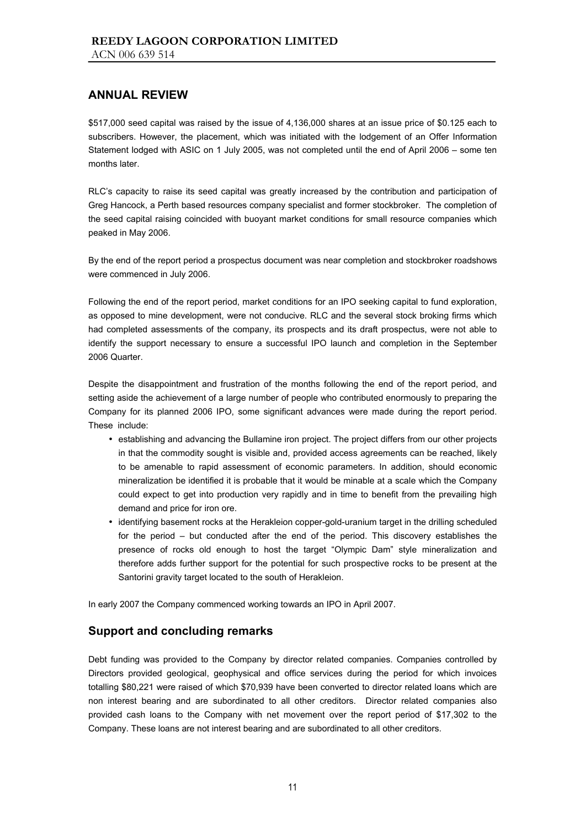\$517,000 seed capital was raised by the issue of 4,136,000 shares at an issue price of \$0.125 each to subscribers. However, the placement, which was initiated with the lodgement of an Offer Information Statement lodged with ASIC on 1 July 2005, was not completed until the end of April 2006 – some ten months later.

RLC's capacity to raise its seed capital was greatly increased by the contribution and participation of Greg Hancock, a Perth based resources company specialist and former stockbroker. The completion of the seed capital raising coincided with buoyant market conditions for small resource companies which peaked in May 2006.

By the end of the report period a prospectus document was near completion and stockbroker roadshows were commenced in July 2006.

Following the end of the report period, market conditions for an IPO seeking capital to fund exploration, as opposed to mine development, were not conducive. RLC and the several stock broking firms which had completed assessments of the company, its prospects and its draft prospectus, were not able to identify the support necessary to ensure a successful IPO launch and completion in the September 2006 Quarter.

Despite the disappointment and frustration of the months following the end of the report period, and setting aside the achievement of a large number of people who contributed enormously to preparing the Company for its planned 2006 IPO, some significant advances were made during the report period. These include:

- establishing and advancing the Bullamine iron project. The project differs from our other projects in that the commodity sought is visible and, provided access agreements can be reached, likely to be amenable to rapid assessment of economic parameters. In addition, should economic mineralization be identified it is probable that it would be minable at a scale which the Company could expect to get into production very rapidly and in time to benefit from the prevailing high demand and price for iron ore.
- identifying basement rocks at the Herakleion copper-gold-uranium target in the drilling scheduled for the period – but conducted after the end of the period. This discovery establishes the presence of rocks old enough to host the target "Olympic Dam" style mineralization and therefore adds further support for the potential for such prospective rocks to be present at the Santorini gravity target located to the south of Herakleion.

In early 2007 the Company commenced working towards an IPO in April 2007.

## **Support and concluding remarks**

Debt funding was provided to the Company by director related companies. Companies controlled by Directors provided geological, geophysical and office services during the period for which invoices totalling \$80,221 were raised of which \$70,939 have been converted to director related loans which are non interest bearing and are subordinated to all other creditors. Director related companies also provided cash loans to the Company with net movement over the report period of \$17,302 to the Company. These loans are not interest bearing and are subordinated to all other creditors.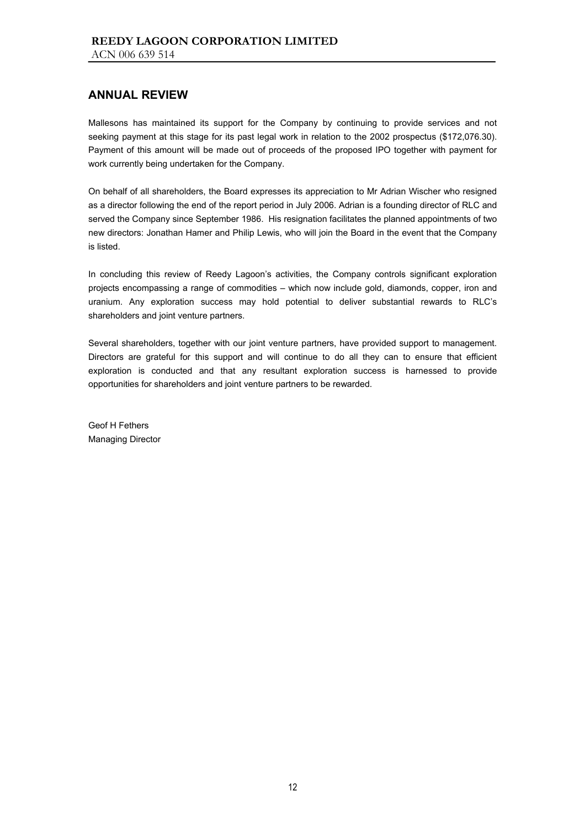Mallesons has maintained its support for the Company by continuing to provide services and not seeking payment at this stage for its past legal work in relation to the 2002 prospectus (\$172,076.30). Payment of this amount will be made out of proceeds of the proposed IPO together with payment for work currently being undertaken for the Company.

On behalf of all shareholders, the Board expresses its appreciation to Mr Adrian Wischer who resigned as a director following the end of the report period in July 2006. Adrian is a founding director of RLC and served the Company since September 1986. His resignation facilitates the planned appointments of two new directors: Jonathan Hamer and Philip Lewis, who will join the Board in the event that the Company is listed.

In concluding this review of Reedy Lagoon's activities, the Company controls significant exploration projects encompassing a range of commodities – which now include gold, diamonds, copper, iron and uranium. Any exploration success may hold potential to deliver substantial rewards to RLC's shareholders and joint venture partners.

Several shareholders, together with our joint venture partners, have provided support to management. Directors are grateful for this support and will continue to do all they can to ensure that efficient exploration is conducted and that any resultant exploration success is harnessed to provide opportunities for shareholders and joint venture partners to be rewarded.

Geof H Fethers Managing Director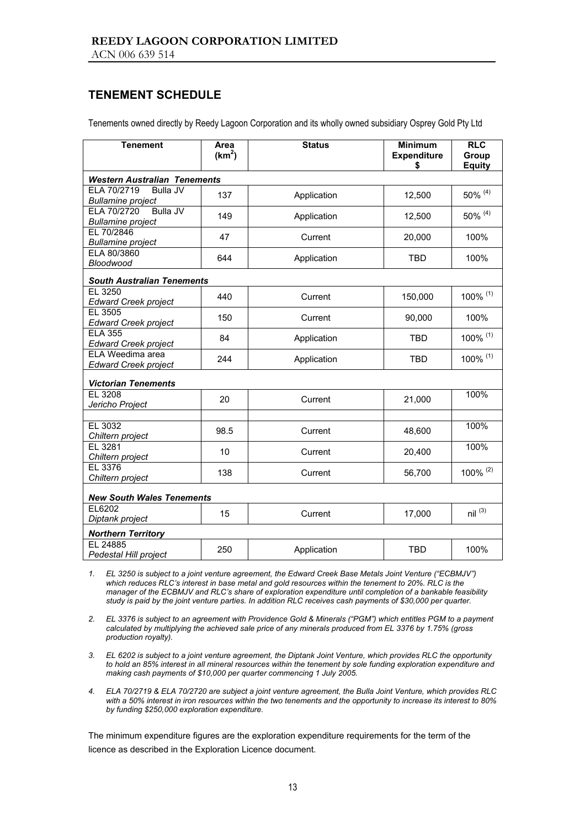## **TENEMENT SCHEDULE**

Tenements owned directly by Reedy Lagoon Corporation and its wholly owned subsidiary Osprey Gold Pty Ltd

| <b>Tenement</b>                                            | Area<br>(km <sup>2</sup> ) | <b>Status</b> | <b>Minimum</b><br><b>Expenditure</b><br>\$ | <b>RLC</b><br>Group<br><b>Equity</b> |
|------------------------------------------------------------|----------------------------|---------------|--------------------------------------------|--------------------------------------|
| <b>Western Australian Tenements</b>                        |                            |               |                                            |                                      |
| ELA 70/2719<br><b>Bulla JV</b><br><b>Bullamine project</b> | 137                        | Application   | 12,500                                     | 50% (4)                              |
| Bulla JV<br>ELA 70/2720<br><b>Bullamine</b> project        | 149                        | Application   | 12,500                                     | 50% (4)                              |
| EL 70/2846<br><b>Bullamine</b> project                     | 47                         | Current       | 20,000                                     | 100%                                 |
| ELA 80/3860<br>Bloodwood                                   | 644                        | Application   | <b>TBD</b>                                 | 100%                                 |
| <b>South Australian Tenements</b>                          |                            |               |                                            |                                      |
| EL 3250<br><b>Edward Creek project</b>                     | 440                        | Current       | 150,000                                    | 100% (1)                             |
| EL 3505<br>Edward Creek project                            | 150                        | Current       | 90,000                                     | 100%                                 |
| <b>ELA 355</b><br><b>Edward Creek project</b>              | 84                         | Application   | <b>TBD</b>                                 | 100% (1)                             |
| ELA Weedima area<br><b>Edward Creek project</b>            | 244                        | Application   | <b>TBD</b>                                 | 100% (1)                             |
| <b>Victorian Tenements</b>                                 |                            |               |                                            |                                      |
| EL 3208<br>Jericho Project                                 | 20                         | Current       | 21,000                                     | 100%                                 |
| EL 3032                                                    |                            |               |                                            | 100%                                 |
| Chiltern project                                           | 98.5                       | Current       | 48,600                                     |                                      |
| EL 3281<br>Chiltern project                                | 10                         | Current       | 20,400                                     | 100%                                 |
| EL 3376<br>Chiltern project                                | 138                        | Current       | 56,700                                     | 100% $(2)$                           |
| <b>New South Wales Tenements</b>                           |                            |               |                                            |                                      |
| EL6202<br>Diptank project                                  | 15                         | Current       | 17,000                                     | $nil^{(3)}$                          |
| <b>Northern Territory</b>                                  |                            |               |                                            |                                      |
| EL 24885<br>Pedestal Hill project                          | 250                        | Application   | <b>TBD</b>                                 | 100%                                 |

*1. EL 3250 is subject to a joint venture agreement, the Edward Creek Base Metals Joint Venture ("ECBMJV") which reduces RLC's interest in base metal and gold resources within the tenement to 20%. RLC is the manager of the ECBMJV and RLC's share of exploration expenditure until completion of a bankable feasibility study is paid by the joint venture parties. In addition RLC receives cash payments of \$30,000 per quarter.* 

*2. EL 3376 is subject to an agreement with Providence Gold & Minerals ("PGM") which entitles PGM to a payment calculated by multiplying the achieved sale price of any minerals produced from EL 3376 by 1.75% (gross production royalty).* 

*3. EL 6202 is subject to a joint venture agreement, the Diptank Joint Venture, which provides RLC the opportunity to hold an 85% interest in all mineral resources within the tenement by sole funding exploration expenditure and making cash payments of \$10,000 per quarter commencing 1 July 2005.* 

*4. ELA 70/2719 & ELA 70/2720 are subject a joint venture agreement, the Bulla Joint Venture, which provides RLC with a 50% interest in iron resources within the two tenements and the opportunity to increase its interest to 80% by funding \$250,000 exploration expenditure.* 

The minimum expenditure figures are the exploration expenditure requirements for the term of the licence as described in the Exploration Licence document.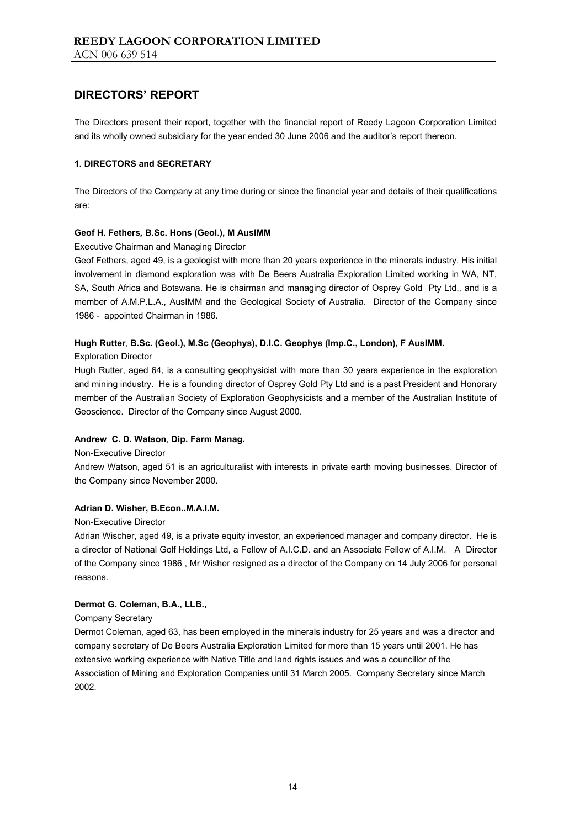The Directors present their report, together with the financial report of Reedy Lagoon Corporation Limited and its wholly owned subsidiary for the year ended 30 June 2006 and the auditor's report thereon.

#### **1. DIRECTORS and SECRETARY**

The Directors of the Company at any time during or since the financial year and details of their qualifications are:

### **Geof H. Fethers***,* **B.Sc. Hons (Geol.), M AusIMM**

Executive Chairman and Managing Director

Geof Fethers, aged 49, is a geologist with more than 20 years experience in the minerals industry. His initial involvement in diamond exploration was with De Beers Australia Exploration Limited working in WA, NT, SA, South Africa and Botswana. He is chairman and managing director of Osprey Gold Pty Ltd., and is a member of A.M.P.L.A., AusIMM and the Geological Society of Australia. Director of the Company since 1986 - appointed Chairman in 1986.

### **Hugh Rutter***,* **B.Sc. (Geol.), M.Sc (Geophys), D.I.C. Geophys (Imp.C., London), F AusIMM.**

Exploration Director

Hugh Rutter, aged 64, is a consulting geophysicist with more than 30 years experience in the exploration and mining industry. He is a founding director of Osprey Gold Pty Ltd and is a past President and Honorary member of the Australian Society of Exploration Geophysicists and a member of the Australian Institute of Geoscience. Director of the Company since August 2000.

#### **Andrew C. D. Watson**, **Dip. Farm Manag.**

Non-Executive Director

Andrew Watson, aged 51 is an agriculturalist with interests in private earth moving businesses. Director of the Company since November 2000.

#### **Adrian D. Wisher, B.Econ..M.A.I.M.**

Non-Executive Director

Adrian Wischer, aged 49, is a private equity investor, an experienced manager and company director. He is a director of National Golf Holdings Ltd, a Fellow of A.I.C.D. and an Associate Fellow of A.I.M. A Director of the Company since 1986 , Mr Wisher resigned as a director of the Company on 14 July 2006 for personal reasons.

#### **Dermot G. Coleman, B.A., LLB.,**

Company Secretary

Dermot Coleman, aged 63, has been employed in the minerals industry for 25 years and was a director and company secretary of De Beers Australia Exploration Limited for more than 15 years until 2001. He has extensive working experience with Native Title and land rights issues and was a councillor of the Association of Mining and Exploration Companies until 31 March 2005. Company Secretary since March 2002.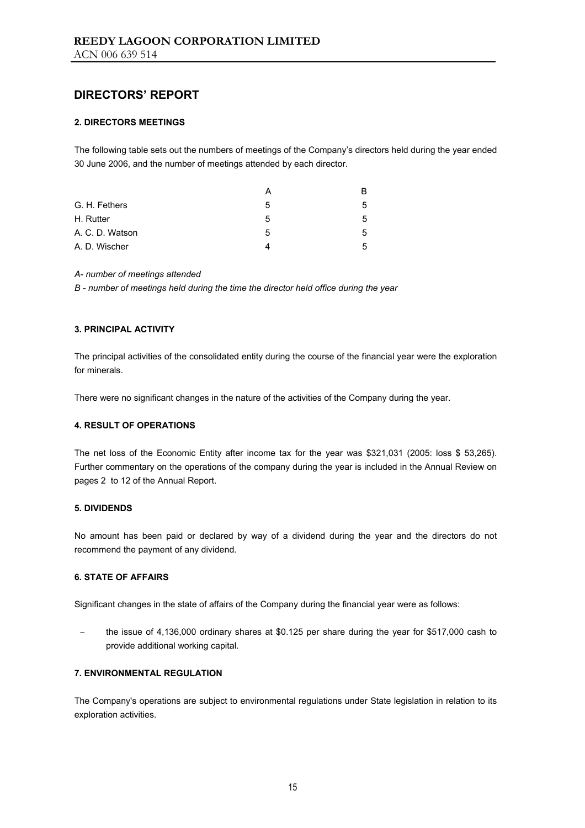#### **2. DIRECTORS MEETINGS**

The following table sets out the numbers of meetings of the Company's directors held during the year ended 30 June 2006, and the number of meetings attended by each director.

|                 |   | R  |
|-----------------|---|----|
| G. H. Fethers   | 5 | 5. |
| H. Rutter       | 5 | 5. |
| A. C. D. Watson | 5 | 5  |
| A. D. Wischer   |   |    |

#### *A- number of meetings attended*

*B - number of meetings held during the time the director held office during the year* 

#### **3. PRINCIPAL ACTIVITY**

The principal activities of the consolidated entity during the course of the financial year were the exploration for minerals.

There were no significant changes in the nature of the activities of the Company during the year.

#### **4. RESULT OF OPERATIONS**

The net loss of the Economic Entity after income tax for the year was \$321,031 (2005: loss \$ 53,265). Further commentary on the operations of the company during the year is included in the Annual Review on pages 2 to 12 of the Annual Report.

#### **5. DIVIDENDS**

No amount has been paid or declared by way of a dividend during the year and the directors do not recommend the payment of any dividend.

#### **6. STATE OF AFFAIRS**

Significant changes in the state of affairs of the Company during the financial year were as follows:

the issue of 4,136,000 ordinary shares at \$0.125 per share during the year for \$517,000 cash to provide additional working capital.

### **7. ENVIRONMENTAL REGULATION**

The Company's operations are subject to environmental regulations under State legislation in relation to its exploration activities.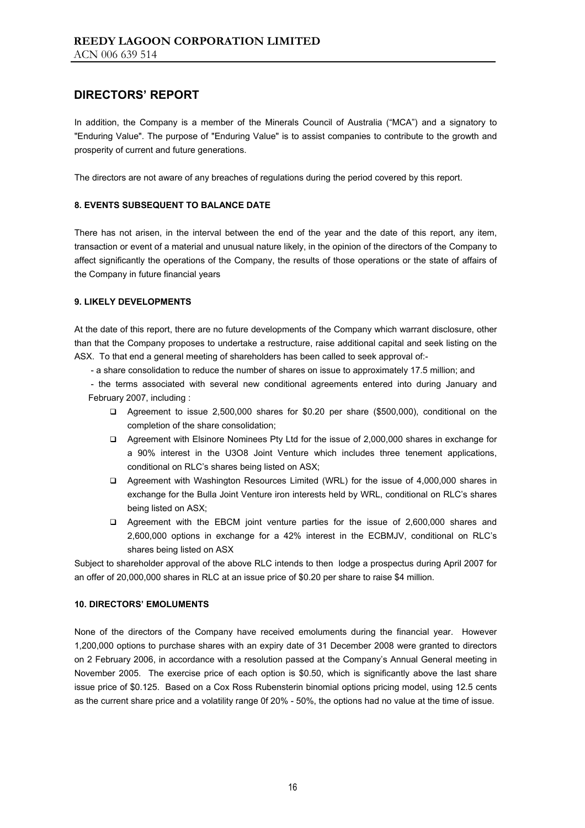In addition, the Company is a member of the Minerals Council of Australia ("MCA") and a signatory to "Enduring Value". The purpose of "Enduring Value" is to assist companies to contribute to the growth and prosperity of current and future generations.

The directors are not aware of any breaches of regulations during the period covered by this report.

#### **8. EVENTS SUBSEQUENT TO BALANCE DATE**

There has not arisen, in the interval between the end of the year and the date of this report, any item, transaction or event of a material and unusual nature likely, in the opinion of the directors of the Company to affect significantly the operations of the Company, the results of those operations or the state of affairs of the Company in future financial years

#### **9. LIKELY DEVELOPMENTS**

At the date of this report, there are no future developments of the Company which warrant disclosure, other than that the Company proposes to undertake a restructure, raise additional capital and seek listing on the ASX. To that end a general meeting of shareholders has been called to seek approval of:-

- a share consolidation to reduce the number of shares on issue to approximately 17.5 million; and

 - the terms associated with several new conditional agreements entered into during January and February 2007, including :

- Agreement to issue 2,500,000 shares for \$0.20 per share (\$500,000), conditional on the completion of the share consolidation;
- Agreement with Elsinore Nominees Pty Ltd for the issue of 2,000,000 shares in exchange for a 90% interest in the U3O8 Joint Venture which includes three tenement applications, conditional on RLC's shares being listed on ASX;
- Agreement with Washington Resources Limited (WRL) for the issue of 4,000,000 shares in exchange for the Bulla Joint Venture iron interests held by WRL, conditional on RLC's shares being listed on ASX;
- Agreement with the EBCM joint venture parties for the issue of 2,600,000 shares and 2,600,000 options in exchange for a 42% interest in the ECBMJV, conditional on RLC's shares being listed on ASX

Subject to shareholder approval of the above RLC intends to then lodge a prospectus during April 2007 for an offer of 20,000,000 shares in RLC at an issue price of \$0.20 per share to raise \$4 million.

#### **10. DIRECTORS' EMOLUMENTS**

None of the directors of the Company have received emoluments during the financial year. However 1,200,000 options to purchase shares with an expiry date of 31 December 2008 were granted to directors on 2 February 2006, in accordance with a resolution passed at the Company's Annual General meeting in November 2005. The exercise price of each option is \$0.50, which is significantly above the last share issue price of \$0.125. Based on a Cox Ross Rubensterin binomial options pricing model, using 12.5 cents as the current share price and a volatility range 0f 20% - 50%, the options had no value at the time of issue.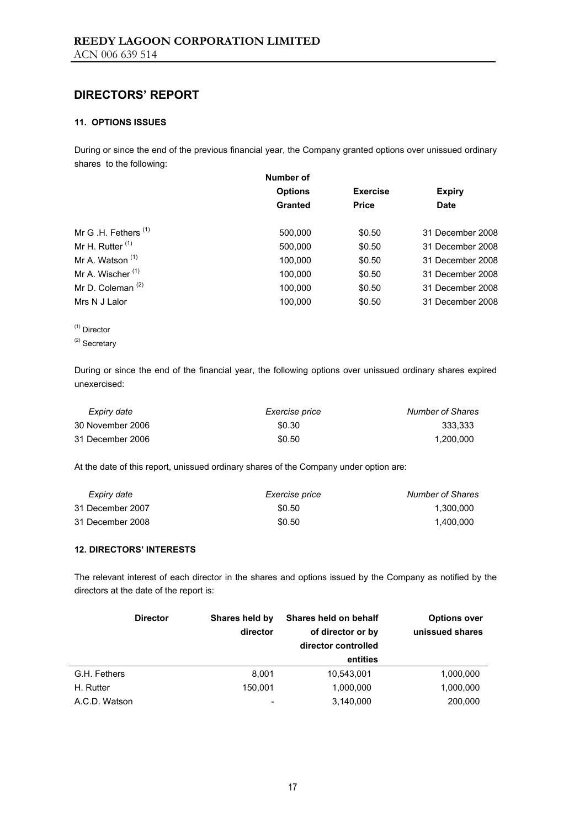### **11. OPTIONS ISSUES**

During or since the end of the previous financial year, the Company granted options over unissued ordinary shares to the following:

|                                 | Number of      |                 |                  |
|---------------------------------|----------------|-----------------|------------------|
|                                 | <b>Options</b> | <b>Exercise</b> | <b>Expiry</b>    |
|                                 | <b>Granted</b> | <b>Price</b>    | <b>Date</b>      |
| Mr G .H. Fethers <sup>(1)</sup> | 500,000        | \$0.50          | 31 December 2008 |
| Mr H. Rutter $(1)$              | 500,000        | \$0.50          | 31 December 2008 |
| Mr A. Watson <sup>(1)</sup>     | 100,000        | \$0.50          | 31 December 2008 |
| Mr A. Wischer <sup>(1)</sup>    | 100,000        | \$0.50          | 31 December 2008 |
| Mr D. Coleman $(2)$             | 100.000        | \$0.50          | 31 December 2008 |
| Mrs N J Lalor                   | 100,000        | \$0.50          | 31 December 2008 |
|                                 |                |                 |                  |

<sup>(1)</sup> Director

During or since the end of the financial year, the following options over unissued ordinary shares expired unexercised:

| Expiry date      | <i>Exercise price</i> | Number of Shares |
|------------------|-----------------------|------------------|
| 30 November 2006 | \$0.30                | 333.333          |
| 31 December 2006 | \$0.50                | 1.200.000        |

At the date of this report, unissued ordinary shares of the Company under option are:

| Expiry date      | <i>Exercise price</i> | Number of Shares |
|------------------|-----------------------|------------------|
| 31 December 2007 | \$0.50                | 1.300.000        |
| 31 December 2008 | \$0.50                | 1.400.000        |

#### **12. DIRECTORS' INTERESTS**

The relevant interest of each director in the shares and options issued by the Company as notified by the directors at the date of the report is:

|               | <b>Director</b> | Shares held by<br>director | Shares held on behalf<br>of director or by<br>director controlled | <b>Options over</b><br>unissued shares |
|---------------|-----------------|----------------------------|-------------------------------------------------------------------|----------------------------------------|
|               |                 |                            | entities                                                          |                                        |
| G.H. Fethers  |                 | 8,001                      | 10,543,001                                                        | 1,000,000                              |
| H. Rutter     |                 | 150.001                    | 1,000,000                                                         | 1,000,000                              |
| A.C.D. Watson |                 |                            | 3,140,000                                                         | 200,000                                |

<sup>(2)</sup> Secretary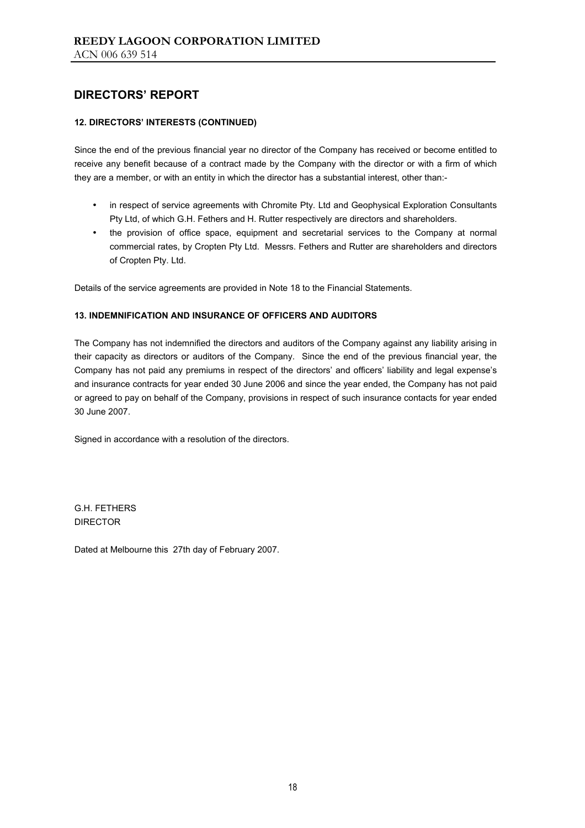### **12. DIRECTORS' INTERESTS (CONTINUED)**

Since the end of the previous financial year no director of the Company has received or become entitled to receive any benefit because of a contract made by the Company with the director or with a firm of which they are a member, or with an entity in which the director has a substantial interest, other than:-

- in respect of service agreements with Chromite Pty. Ltd and Geophysical Exploration Consultants Pty Ltd, of which G.H. Fethers and H. Rutter respectively are directors and shareholders.
- the provision of office space, equipment and secretarial services to the Company at normal commercial rates, by Cropten Pty Ltd. Messrs. Fethers and Rutter are shareholders and directors of Cropten Pty. Ltd.

Details of the service agreements are provided in Note 18 to the Financial Statements.

#### **13. INDEMNIFICATION AND INSURANCE OF OFFICERS AND AUDITORS**

The Company has not indemnified the directors and auditors of the Company against any liability arising in their capacity as directors or auditors of the Company. Since the end of the previous financial year, the Company has not paid any premiums in respect of the directors' and officers' liability and legal expense's and insurance contracts for year ended 30 June 2006 and since the year ended, the Company has not paid or agreed to pay on behalf of the Company, provisions in respect of such insurance contacts for year ended 30 June 2007.

Signed in accordance with a resolution of the directors.

G.H. FETHERS DIRECTOR

Dated at Melbourne this 27th day of February 2007.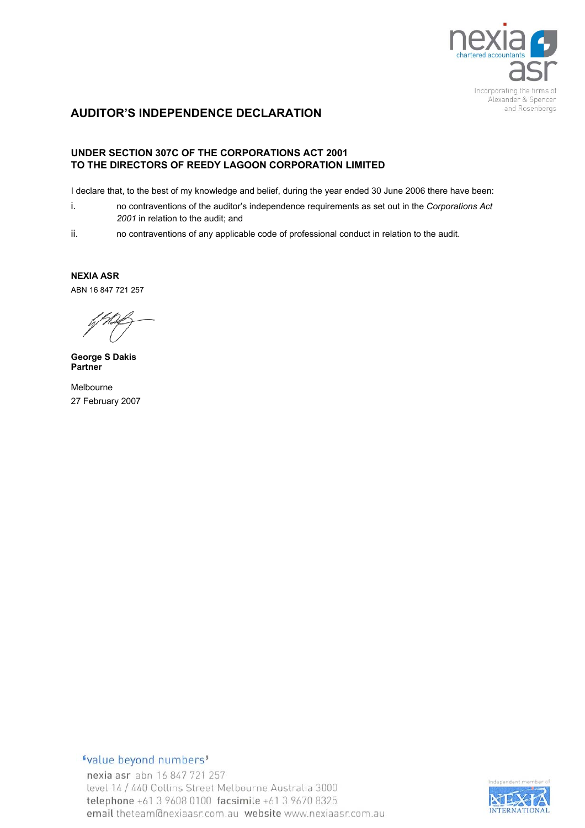

## **AUDITOR'S INDEPENDENCE DECLARATION**

### **UNDER SECTION 307C OF THE CORPORATIONS ACT 2001 TO THE DIRECTORS OF REEDY LAGOON CORPORATION LIMITED**

I declare that, to the best of my knowledge and belief, during the year ended 30 June 2006 there have been:

- i. no contraventions of the auditor's independence requirements as set out in the *Corporations Act 2001* in relation to the audit; and
- ii. no contraventions of any applicable code of professional conduct in relation to the audit.

**NEXIA ASR**  ABN 16 847 721 257

**George S Dakis Partner** 

Melbourne 27 February 2007

## "value beyond numbers"

nexia asr abn 16 847 721 257 level 14 / 440 Collins Street Melbourne Australia 3000 telephone +61 3 9608 0100 facsimile +61 3 9670 8325 email theteam@nexiaasr.com.au\_website www.nexiaasr.com.au

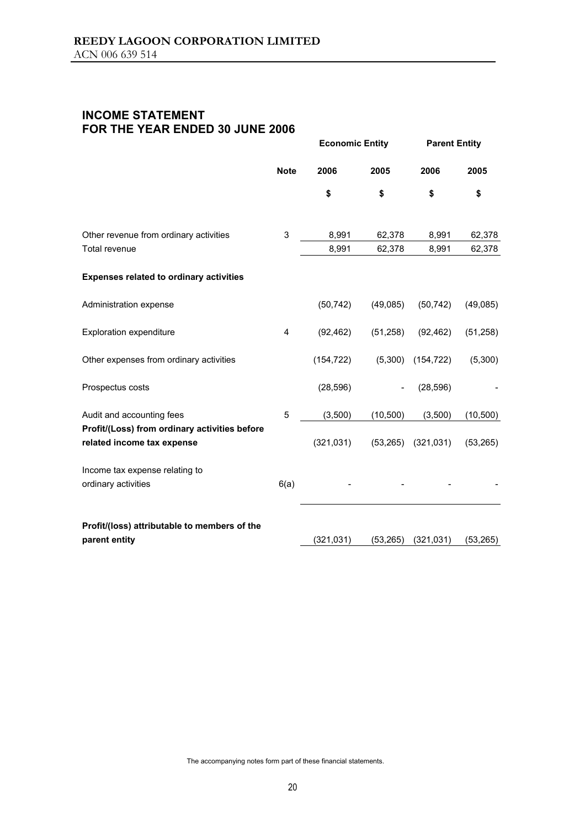## **INCOME STATEMENT FOR THE YEAR ENDED 30 JUNE 2006**

|                                                                             |             | <b>Economic Entity</b> |           | <b>Parent Entity</b> |           |
|-----------------------------------------------------------------------------|-------------|------------------------|-----------|----------------------|-----------|
|                                                                             | <b>Note</b> | 2006                   | 2005      | 2006                 | 2005      |
|                                                                             |             | \$                     | \$        | \$                   | \$        |
|                                                                             |             |                        |           |                      |           |
| Other revenue from ordinary activities                                      | 3           | 8,991                  | 62,378    | 8,991                | 62,378    |
| Total revenue                                                               |             | 8,991                  | 62,378    | 8,991                | 62,378    |
| <b>Expenses related to ordinary activities</b>                              |             |                        |           |                      |           |
| Administration expense                                                      |             | (50, 742)              | (49,085)  | (50, 742)            | (49,085)  |
| <b>Exploration expenditure</b>                                              | 4           | (92, 462)              | (51, 258) | (92, 462)            | (51, 258) |
| Other expenses from ordinary activities                                     |             | (154, 722)             | (5,300)   | (154, 722)           | (5,300)   |
| Prospectus costs                                                            |             | (28, 596)              |           | (28, 596)            |           |
| Audit and accounting fees                                                   | 5           | (3,500)                | (10, 500) | (3,500)              | (10, 500) |
| Profit/(Loss) from ordinary activities before<br>related income tax expense |             | (321, 031)             | (53, 265) | (321, 031)           | (53, 265) |
| Income tax expense relating to                                              |             |                        |           |                      |           |
| ordinary activities                                                         | 6(a)        |                        |           |                      |           |
| Profit/(loss) attributable to members of the                                |             |                        |           |                      |           |
| parent entity                                                               |             | (321, 031)             | (53, 265) | (321, 031)           | (53, 265) |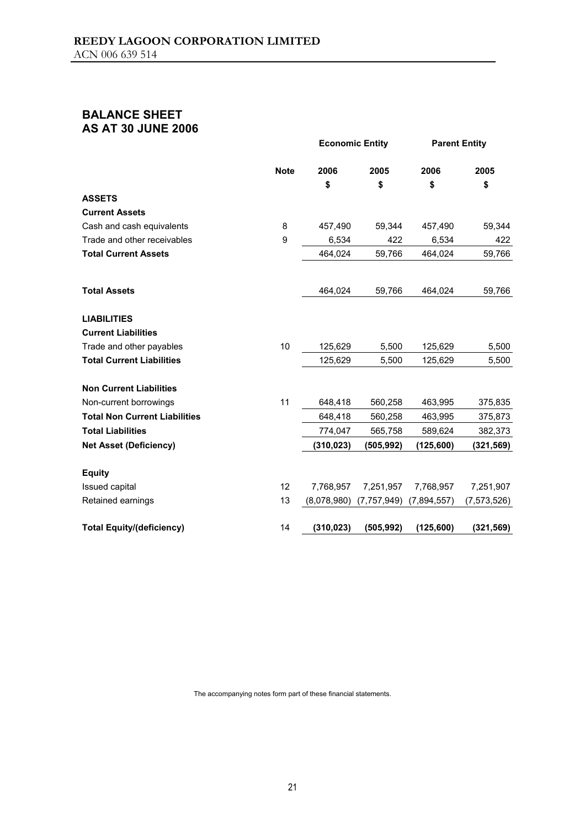## **BALANCE SHEET AS AT 30 JUNE 2006**

|                                      |             | <b>Economic Entity</b> |               |             | <b>Parent Entity</b> |
|--------------------------------------|-------------|------------------------|---------------|-------------|----------------------|
|                                      | <b>Note</b> | 2006                   | 2005          | 2006        | 2005                 |
|                                      |             | \$                     | \$            | \$          | \$                   |
| <b>ASSETS</b>                        |             |                        |               |             |                      |
| <b>Current Assets</b>                |             |                        |               |             |                      |
| Cash and cash equivalents            | 8           | 457,490                | 59,344        | 457,490     | 59,344               |
| Trade and other receivables          | 9           | 6,534                  | 422           | 6,534       | 422                  |
| <b>Total Current Assets</b>          |             | 464,024                | 59,766        | 464,024     | 59,766               |
| <b>Total Assets</b>                  |             | 464,024                | 59,766        | 464,024     | 59,766               |
| <b>LIABILITIES</b>                   |             |                        |               |             |                      |
| <b>Current Liabilities</b>           |             |                        |               |             |                      |
| Trade and other payables             | 10          | 125,629                | 5,500         | 125,629     | 5,500                |
| <b>Total Current Liabilities</b>     |             | 125,629                | 5,500         | 125,629     | 5,500                |
| <b>Non Current Liabilities</b>       |             |                        |               |             |                      |
| Non-current borrowings               | 11          | 648,418                | 560,258       | 463,995     | 375,835              |
| <b>Total Non Current Liabilities</b> |             | 648,418                | 560,258       | 463,995     | 375,873              |
| <b>Total Liabilities</b>             |             | 774,047                | 565,758       | 589,624     | 382,373              |
| <b>Net Asset (Deficiency)</b>        |             | (310, 023)             | (505, 992)    | (125, 600)  | (321, 569)           |
| <b>Equity</b>                        |             |                        |               |             |                      |
| Issued capital                       | 12          | 7,768,957              | 7,251,957     | 7,768,957   | 7,251,907            |
| Retained earnings                    | 13          | (8,078,980)            | (7, 757, 949) | (7,894,557) | (7, 573, 526)        |
| <b>Total Equity/(deficiency)</b>     | 14          | (310, 023)             | (505, 992)    | (125, 600)  | (321, 569)           |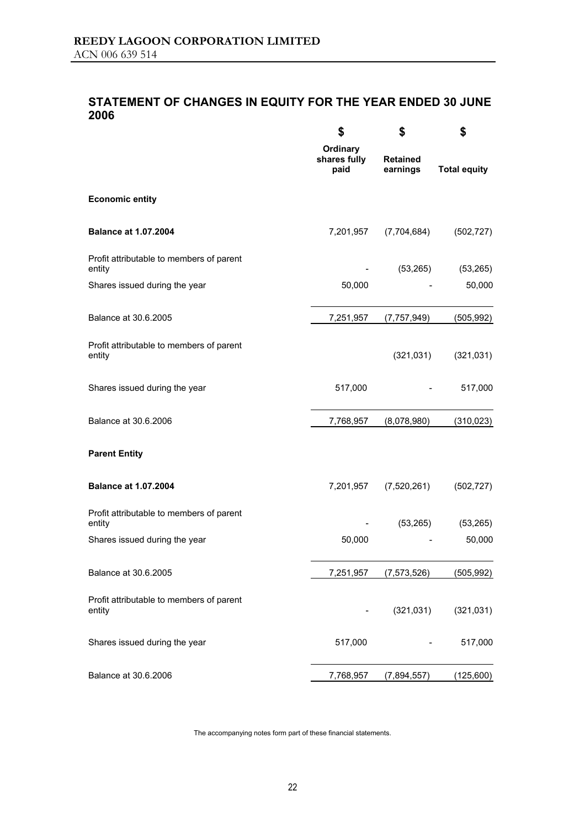## **STATEMENT OF CHANGES IN EQUITY FOR THE YEAR ENDED 30 JUNE 2006**

|                                                    | \$                               | \$                          | \$                  |
|----------------------------------------------------|----------------------------------|-----------------------------|---------------------|
|                                                    | Ordinary<br>shares fully<br>paid | <b>Retained</b><br>earnings | <b>Total equity</b> |
| <b>Economic entity</b>                             |                                  |                             |                     |
| <b>Balance at 1.07.2004</b>                        | 7,201,957                        | (7,704,684)                 | (502, 727)          |
| Profit attributable to members of parent<br>entity |                                  | (53, 265)                   | (53, 265)           |
| Shares issued during the year                      | 50,000                           |                             | 50,000              |
| Balance at 30.6.2005                               | 7,251,957                        | (7, 757, 949)               | (505, 992)          |
| Profit attributable to members of parent<br>entity |                                  | (321, 031)                  | (321, 031)          |
| Shares issued during the year                      | 517,000                          |                             | 517,000             |
| Balance at 30.6.2006                               | 7,768,957                        | (8,078,980)                 | (310, 023)          |
| <b>Parent Entity</b>                               |                                  |                             |                     |
| <b>Balance at 1.07.2004</b>                        | 7,201,957                        | (7,520,261)                 | (502, 727)          |
| Profit attributable to members of parent<br>entity |                                  | (53, 265)                   | (53, 265)           |
| Shares issued during the year                      | 50,000                           |                             | 50,000              |
| Balance at 30.6.2005                               | 7,251,957                        | (7, 573, 526)               | (505, 992)          |
| Profit attributable to members of parent<br>entity |                                  | (321, 031)                  | (321, 031)          |
| Shares issued during the year                      | 517,000                          |                             | 517,000             |
| Balance at 30.6.2006                               | 7,768,957                        | (7,894,557)                 | (125,600)           |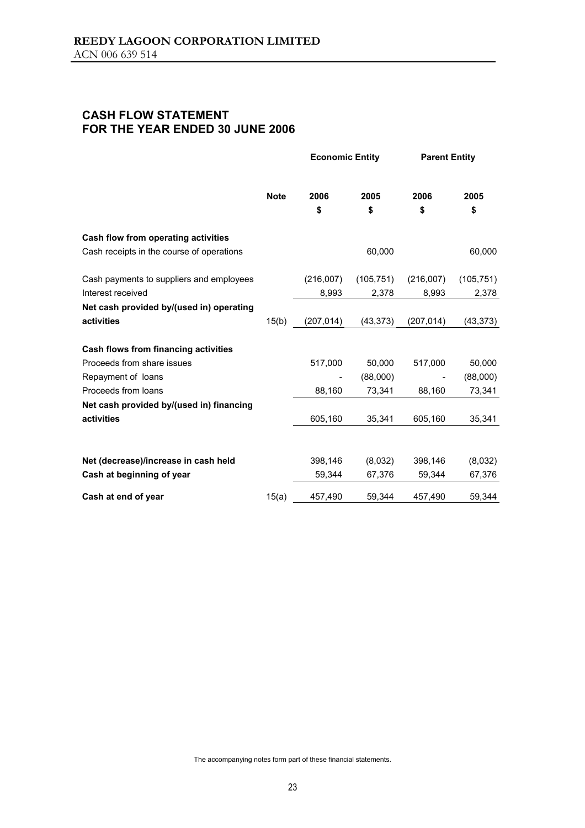## **CASH FLOW STATEMENT FOR THE YEAR ENDED 30 JUNE 2006**

|                                           | <b>Note</b> | <b>Economic Entity</b> |            | <b>Parent Entity</b> |            |
|-------------------------------------------|-------------|------------------------|------------|----------------------|------------|
|                                           |             | 2006                   | 2005       | 2006                 | 2005       |
|                                           |             | \$                     | \$         | \$                   | \$         |
| Cash flow from operating activities       |             |                        |            |                      |            |
| Cash receipts in the course of operations |             |                        | 60,000     |                      | 60,000     |
| Cash payments to suppliers and employees  |             | (216,007)              | (105, 751) | (216,007)            | (105, 751) |
| Interest received                         |             | 8,993                  | 2,378      | 8,993                | 2,378      |
| Net cash provided by/(used in) operating  |             |                        |            |                      |            |
| activities                                | 15(b)       | (207, 014)             | (43, 373)  | (207, 014)           | (43, 373)  |
| Cash flows from financing activities      |             |                        |            |                      |            |
| Proceeds from share issues                |             | 517,000                | 50,000     | 517,000              | 50,000     |
| Repayment of loans                        |             |                        | (88,000)   |                      | (88,000)   |
| Proceeds from loans                       |             | 88,160                 | 73,341     | 88,160               | 73,341     |
| Net cash provided by/(used in) financing  |             |                        |            |                      |            |
| activities                                |             | 605,160                | 35,341     | 605,160              | 35,341     |
|                                           |             |                        |            |                      |            |
| Net (decrease)/increase in cash held      |             | 398,146                | (8,032)    | 398,146              | (8,032)    |
| Cash at beginning of year                 |             | 59,344                 | 67,376     | 59,344               | 67,376     |
| Cash at end of year                       | 15(a)       | 457,490                | 59,344     | 457,490              | 59,344     |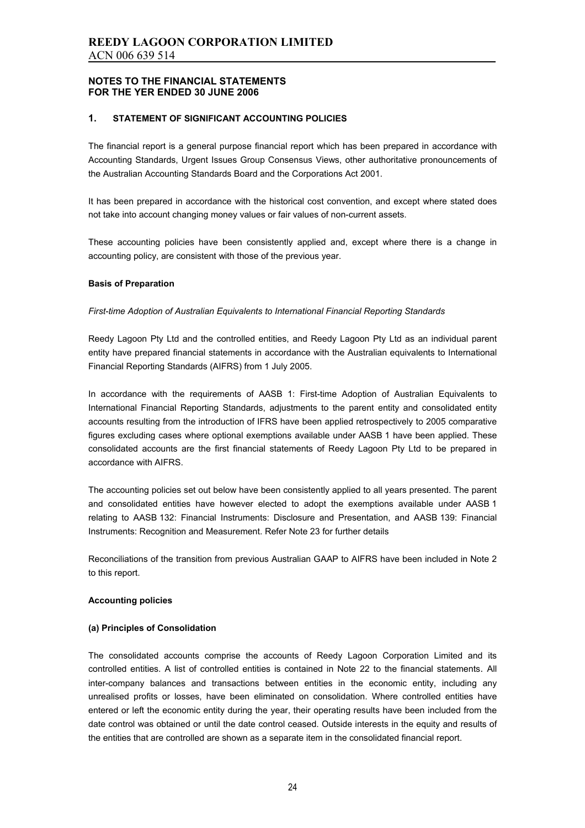#### **1. STATEMENT OF SIGNIFICANT ACCOUNTING POLICIES**

The financial report is a general purpose financial report which has been prepared in accordance with Accounting Standards, Urgent Issues Group Consensus Views, other authoritative pronouncements of the Australian Accounting Standards Board and the Corporations Act 2001.

It has been prepared in accordance with the historical cost convention, and except where stated does not take into account changing money values or fair values of non-current assets.

These accounting policies have been consistently applied and, except where there is a change in accounting policy, are consistent with those of the previous year.

#### **Basis of Preparation**

#### *First-time Adoption of Australian Equivalents to International Financial Reporting Standards*

Reedy Lagoon Pty Ltd and the controlled entities, and Reedy Lagoon Pty Ltd as an individual parent entity have prepared financial statements in accordance with the Australian equivalents to International Financial Reporting Standards (AIFRS) from 1 July 2005.

In accordance with the requirements of AASB 1: First-time Adoption of Australian Equivalents to International Financial Reporting Standards, adjustments to the parent entity and consolidated entity accounts resulting from the introduction of IFRS have been applied retrospectively to 2005 comparative figures excluding cases where optional exemptions available under AASB 1 have been applied. These consolidated accounts are the first financial statements of Reedy Lagoon Pty Ltd to be prepared in accordance with AIFRS.

The accounting policies set out below have been consistently applied to all years presented. The parent and consolidated entities have however elected to adopt the exemptions available under AASB 1 relating to AASB 132: Financial Instruments: Disclosure and Presentation, and AASB 139: Financial Instruments: Recognition and Measurement. Refer Note 23 for further details

Reconciliations of the transition from previous Australian GAAP to AIFRS have been included in Note 2 to this report.

#### **Accounting policies**

#### **(a) Principles of Consolidation**

The consolidated accounts comprise the accounts of Reedy Lagoon Corporation Limited and its controlled entities. A list of controlled entities is contained in Note 22 to the financial statements. All inter-company balances and transactions between entities in the economic entity, including any unrealised profits or losses, have been eliminated on consolidation. Where controlled entities have entered or left the economic entity during the year, their operating results have been included from the date control was obtained or until the date control ceased. Outside interests in the equity and results of the entities that are controlled are shown as a separate item in the consolidated financial report.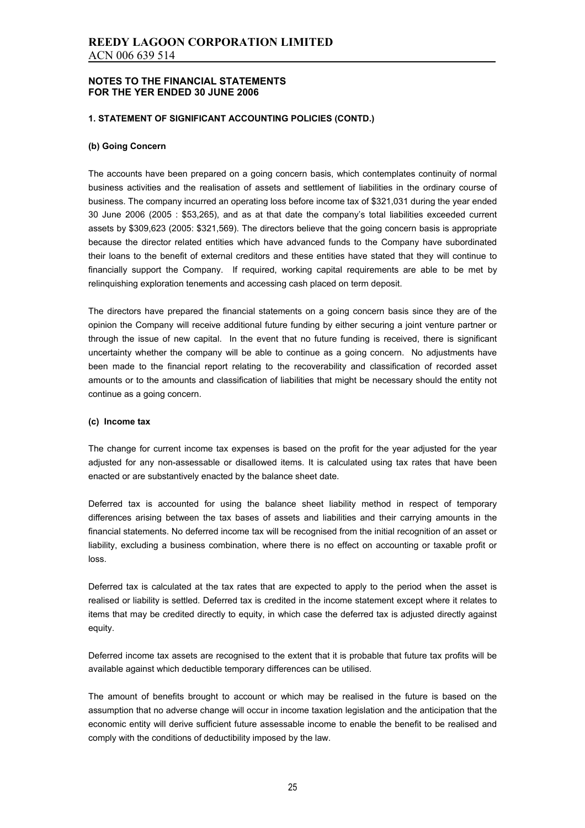#### **1. STATEMENT OF SIGNIFICANT ACCOUNTING POLICIES (CONTD.)**

#### **(b) Going Concern**

The accounts have been prepared on a going concern basis, which contemplates continuity of normal business activities and the realisation of assets and settlement of liabilities in the ordinary course of business. The company incurred an operating loss before income tax of \$321,031 during the year ended 30 June 2006 (2005 : \$53,265), and as at that date the company's total liabilities exceeded current assets by \$309,623 (2005: \$321,569). The directors believe that the going concern basis is appropriate because the director related entities which have advanced funds to the Company have subordinated their loans to the benefit of external creditors and these entities have stated that they will continue to financially support the Company. If required, working capital requirements are able to be met by relinquishing exploration tenements and accessing cash placed on term deposit.

The directors have prepared the financial statements on a going concern basis since they are of the opinion the Company will receive additional future funding by either securing a joint venture partner or through the issue of new capital. In the event that no future funding is received, there is significant uncertainty whether the company will be able to continue as a going concern. No adjustments have been made to the financial report relating to the recoverability and classification of recorded asset amounts or to the amounts and classification of liabilities that might be necessary should the entity not continue as a going concern.

#### **(c) Income tax**

The change for current income tax expenses is based on the profit for the year adjusted for the year adjusted for any non-assessable or disallowed items. It is calculated using tax rates that have been enacted or are substantively enacted by the balance sheet date.

Deferred tax is accounted for using the balance sheet liability method in respect of temporary differences arising between the tax bases of assets and liabilities and their carrying amounts in the financial statements. No deferred income tax will be recognised from the initial recognition of an asset or liability, excluding a business combination, where there is no effect on accounting or taxable profit or loss.

Deferred tax is calculated at the tax rates that are expected to apply to the period when the asset is realised or liability is settled. Deferred tax is credited in the income statement except where it relates to items that may be credited directly to equity, in which case the deferred tax is adjusted directly against equity.

Deferred income tax assets are recognised to the extent that it is probable that future tax profits will be available against which deductible temporary differences can be utilised.

The amount of benefits brought to account or which may be realised in the future is based on the assumption that no adverse change will occur in income taxation legislation and the anticipation that the economic entity will derive sufficient future assessable income to enable the benefit to be realised and comply with the conditions of deductibility imposed by the law.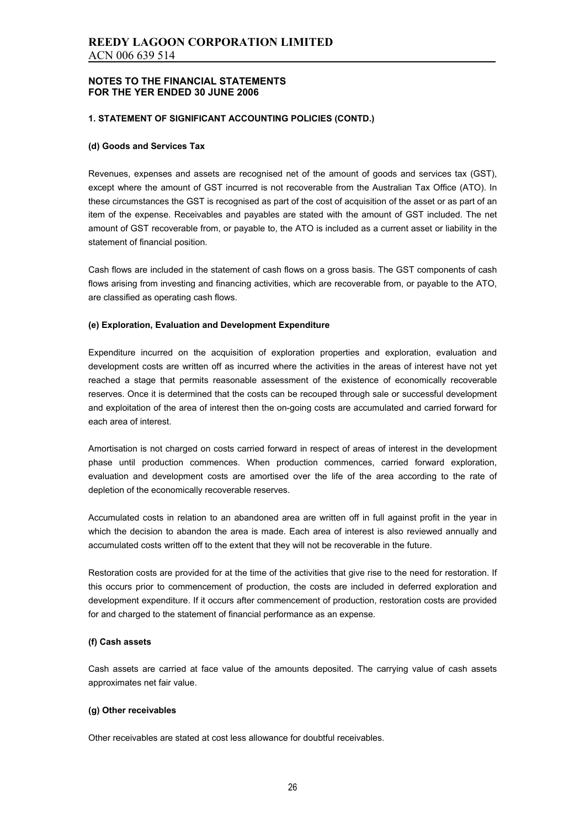#### **1. STATEMENT OF SIGNIFICANT ACCOUNTING POLICIES (CONTD.)**

#### **(d) Goods and Services Tax**

Revenues, expenses and assets are recognised net of the amount of goods and services tax (GST), except where the amount of GST incurred is not recoverable from the Australian Tax Office (ATO). In these circumstances the GST is recognised as part of the cost of acquisition of the asset or as part of an item of the expense. Receivables and payables are stated with the amount of GST included. The net amount of GST recoverable from, or payable to, the ATO is included as a current asset or liability in the statement of financial position.

Cash flows are included in the statement of cash flows on a gross basis. The GST components of cash flows arising from investing and financing activities, which are recoverable from, or payable to the ATO, are classified as operating cash flows.

#### **(e) Exploration, Evaluation and Development Expenditure**

Expenditure incurred on the acquisition of exploration properties and exploration, evaluation and development costs are written off as incurred where the activities in the areas of interest have not yet reached a stage that permits reasonable assessment of the existence of economically recoverable reserves. Once it is determined that the costs can be recouped through sale or successful development and exploitation of the area of interest then the on-going costs are accumulated and carried forward for each area of interest.

Amortisation is not charged on costs carried forward in respect of areas of interest in the development phase until production commences. When production commences, carried forward exploration, evaluation and development costs are amortised over the life of the area according to the rate of depletion of the economically recoverable reserves.

Accumulated costs in relation to an abandoned area are written off in full against profit in the year in which the decision to abandon the area is made. Each area of interest is also reviewed annually and accumulated costs written off to the extent that they will not be recoverable in the future.

Restoration costs are provided for at the time of the activities that give rise to the need for restoration. If this occurs prior to commencement of production, the costs are included in deferred exploration and development expenditure. If it occurs after commencement of production, restoration costs are provided for and charged to the statement of financial performance as an expense.

#### **(f) Cash assets**

Cash assets are carried at face value of the amounts deposited. The carrying value of cash assets approximates net fair value.

#### **(g) Other receivables**

Other receivables are stated at cost less allowance for doubtful receivables.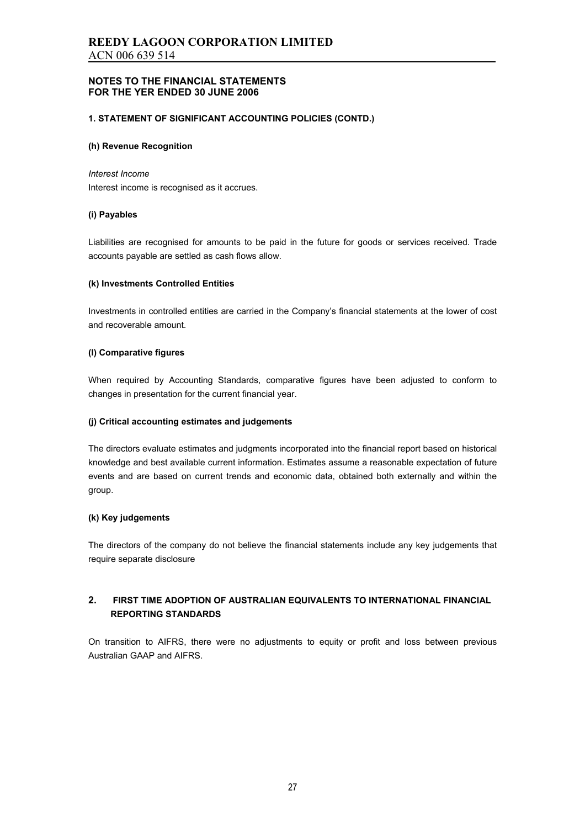#### **1. STATEMENT OF SIGNIFICANT ACCOUNTING POLICIES (CONTD.)**

#### **(h) Revenue Recognition**

#### *Interest Income*

Interest income is recognised as it accrues.

#### **(i) Payables**

Liabilities are recognised for amounts to be paid in the future for goods or services received. Trade accounts payable are settled as cash flows allow.

#### **(k) Investments Controlled Entities**

Investments in controlled entities are carried in the Company's financial statements at the lower of cost and recoverable amount.

#### **(l) Comparative figures**

When required by Accounting Standards, comparative figures have been adjusted to conform to changes in presentation for the current financial year.

#### **(j) Critical accounting estimates and judgements**

The directors evaluate estimates and judgments incorporated into the financial report based on historical knowledge and best available current information. Estimates assume a reasonable expectation of future events and are based on current trends and economic data, obtained both externally and within the group.

#### **(k) Key judgements**

The directors of the company do not believe the financial statements include any key judgements that require separate disclosure

### **2. FIRST TIME ADOPTION OF AUSTRALIAN EQUIVALENTS TO INTERNATIONAL FINANCIAL REPORTING STANDARDS**

On transition to AIFRS, there were no adjustments to equity or profit and loss between previous Australian GAAP and AIFRS.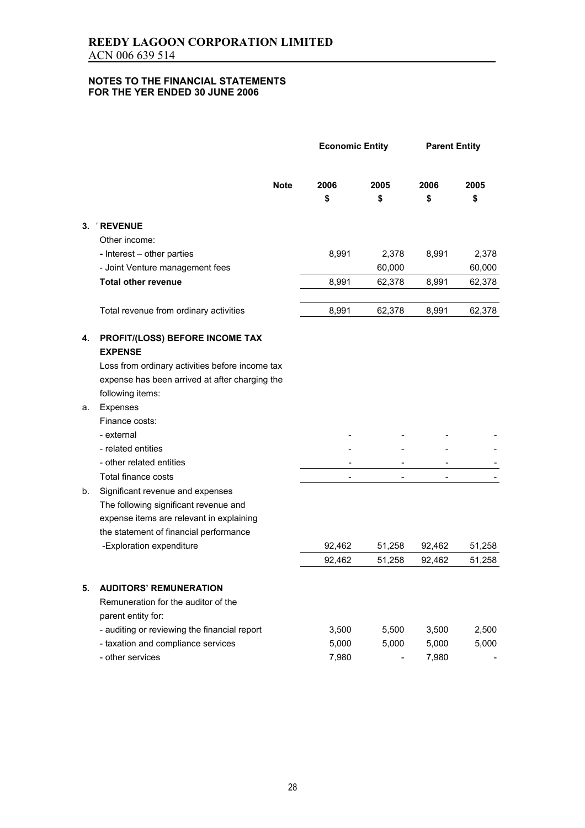|    |                                                   |             | <b>Economic Entity</b> |                              | <b>Parent Entity</b>     |            |
|----|---------------------------------------------------|-------------|------------------------|------------------------------|--------------------------|------------|
|    |                                                   | <b>Note</b> | 2006<br>\$             | 2005<br>\$                   | 2006<br>\$               | 2005<br>\$ |
| 3. | ' REVENUE                                         |             |                        |                              |                          |            |
|    | Other income:                                     |             |                        |                              |                          |            |
|    | - Interest - other parties                        |             | 8,991                  | 2,378                        | 8,991                    | 2,378      |
|    | - Joint Venture management fees                   |             |                        | 60,000                       |                          | 60,000     |
|    | <b>Total other revenue</b>                        |             | 8,991                  | 62,378                       | 8,991                    | 62,378     |
|    | Total revenue from ordinary activities            |             | 8,991                  | 62,378                       | 8,991                    | 62,378     |
| 4. | PROFIT/(LOSS) BEFORE INCOME TAX<br><b>EXPENSE</b> |             |                        |                              |                          |            |
|    | Loss from ordinary activities before income tax   |             |                        |                              |                          |            |
|    | expense has been arrived at after charging the    |             |                        |                              |                          |            |
|    | following items:                                  |             |                        |                              |                          |            |
| а. | Expenses                                          |             |                        |                              |                          |            |
|    | Finance costs:                                    |             |                        |                              |                          |            |
|    | - external                                        |             |                        |                              |                          |            |
|    | - related entities                                |             |                        |                              |                          |            |
|    | - other related entities                          |             |                        |                              |                          |            |
|    | Total finance costs                               |             |                        | $\qquad \qquad \blacksquare$ | $\overline{\phantom{0}}$ |            |
| b. | Significant revenue and expenses                  |             |                        |                              |                          |            |
|    | The following significant revenue and             |             |                        |                              |                          |            |
|    | expense items are relevant in explaining          |             |                        |                              |                          |            |
|    | the statement of financial performance            |             |                        |                              |                          |            |
|    | -Exploration expenditure                          |             | 92,462                 | 51,258                       | 92,462                   | 51,258     |
|    |                                                   |             | 92,462                 | 51,258                       | 92,462                   | 51,258     |
| 5. | <b>AUDITORS' REMUNERATION</b>                     |             |                        |                              |                          |            |
|    | Remuneration for the auditor of the               |             |                        |                              |                          |            |
|    | parent entity for:                                |             |                        |                              |                          |            |
|    | - auditing or reviewing the financial report      |             | 3,500                  | 5,500                        | 3,500                    | 2,500      |
|    | - taxation and compliance services                |             | 5,000                  | 5,000                        | 5,000                    | 5,000      |
|    | - other services                                  |             | 7,980                  |                              | 7,980                    |            |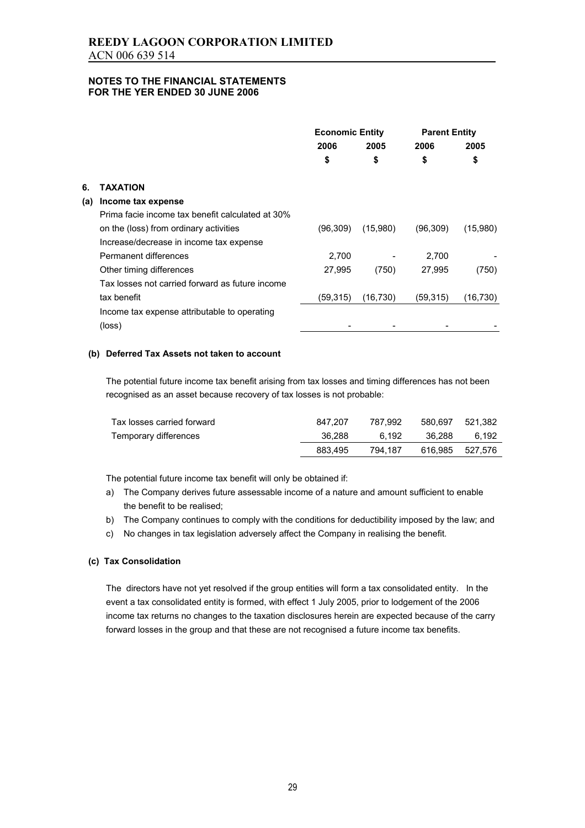|     |                                                  | <b>Economic Entity</b> |           | <b>Parent Entity</b> |           |
|-----|--------------------------------------------------|------------------------|-----------|----------------------|-----------|
|     |                                                  | 2006                   | 2005      | 2006                 | 2005      |
|     |                                                  | \$                     | \$        | \$                   | \$        |
| 6.  | ΤΑΧΑΤΙΟΝ                                         |                        |           |                      |           |
| (a) | Income tax expense                               |                        |           |                      |           |
|     | Prima facie income tax benefit calculated at 30% |                        |           |                      |           |
|     | on the (loss) from ordinary activities           | (96, 309)              | (15,980)  | (96, 309)            | (15,980)  |
|     | Increase/decrease in income tax expense          |                        |           |                      |           |
|     | Permanent differences                            | 2,700                  |           | 2,700                |           |
|     | Other timing differences                         | 27,995                 | (750)     | 27,995               | (750)     |
|     | Tax losses not carried forward as future income  |                        |           |                      |           |
|     | tax benefit                                      | (59, 315)              | (16, 730) | (59,315)             | (16, 730) |
|     | Income tax expense attributable to operating     |                        |           |                      |           |
|     | (loss)                                           |                        |           |                      |           |
|     |                                                  |                        |           |                      |           |

### **(b) Deferred Tax Assets not taken to account**

The potential future income tax benefit arising from tax losses and timing differences has not been recognised as an asset because recovery of tax losses is not probable:

| Tax losses carried forward | 847.207 | 787.992 | 580.697         | 521.382 |
|----------------------------|---------|---------|-----------------|---------|
| Temporary differences      | 36.288  | 6.192   | 36.288          | 6.192   |
|                            | 883.495 | 794.187 | 616.985 527.576 |         |

The potential future income tax benefit will only be obtained if:

- a) The Company derives future assessable income of a nature and amount sufficient to enable the benefit to be realised;
- b) The Company continues to comply with the conditions for deductibility imposed by the law; and
- c) No changes in tax legislation adversely affect the Company in realising the benefit.

#### **(c) Tax Consolidation**

The directors have not yet resolved if the group entities will form a tax consolidated entity. In the event a tax consolidated entity is formed, with effect 1 July 2005, prior to lodgement of the 2006 income tax returns no changes to the taxation disclosures herein are expected because of the carry forward losses in the group and that these are not recognised a future income tax benefits.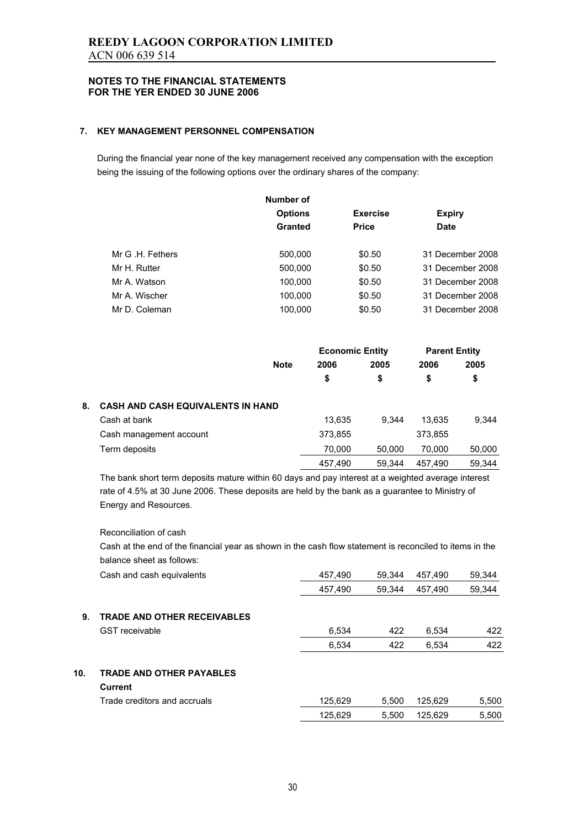### **7. KEY MANAGEMENT PERSONNEL COMPENSATION**

During the financial year none of the key management received any compensation with the exception being the issuing of the following options over the ordinary shares of the company:

|                  | Number of      |                 |                  |
|------------------|----------------|-----------------|------------------|
|                  | <b>Options</b> | <b>Exercise</b> | <b>Expiry</b>    |
|                  | Granted        | <b>Price</b>    | <b>Date</b>      |
| Mr G .H. Fethers | 500,000        | \$0.50          | 31 December 2008 |
| Mr H. Rutter     | 500,000        | \$0.50          | 31 December 2008 |
| Mr A. Watson     | 100,000        | \$0.50          | 31 December 2008 |
| Mr A. Wischer    | 100,000        | \$0.50          | 31 December 2008 |
| Mr D. Coleman    | 100,000        | \$0.50          | 31 December 2008 |
|                  |                |                 |                  |

|    |                                          |             | <b>Economic Entity</b> |        | <b>Parent Entity</b> |        |
|----|------------------------------------------|-------------|------------------------|--------|----------------------|--------|
|    |                                          | <b>Note</b> | 2006                   | 2005   | 2006                 | 2005   |
|    |                                          |             | \$                     | \$     | \$                   | \$     |
| 8. | <b>CASH AND CASH EQUIVALENTS IN HAND</b> |             |                        |        |                      |        |
|    | Cash at bank                             |             | 13,635                 | 9.344  | 13.635               | 9.344  |
|    | Cash management account                  |             | 373,855                |        | 373,855              |        |
|    | Term deposits                            |             | 70,000                 | 50.000 | 70.000               | 50,000 |
|    |                                          |             | 457,490                | 59,344 | 457,490              | 59.344 |

The bank short term deposits mature within 60 days and pay interest at a weighted average interest rate of 4.5% at 30 June 2006. These deposits are held by the bank as a guarantee to Ministry of Energy and Resources.

#### Reconciliation of cash

Cash at the end of the financial year as shown in the cash flow statement is reconciled to items in the balance sheet as follows:

|     | Cash and cash equivalents                  | 457,490 | 59.344 | 457.490 | 59,344 |
|-----|--------------------------------------------|---------|--------|---------|--------|
|     |                                            | 457,490 | 59,344 | 457,490 | 59,344 |
| 9.  | <b>TRADE AND OTHER RECEIVABLES</b>         |         |        |         |        |
|     | <b>GST</b> receivable                      | 6,534   | 422    | 6.534   | 422    |
|     |                                            | 6,534   | 422    | 6.534   | 422    |
| 10. | <b>TRADE AND OTHER PAYABLES</b><br>Current |         |        |         |        |
|     | Trade creditors and accruals               | 125,629 | 5.500  | 125.629 | 5,500  |
|     |                                            | 125,629 | 5.500  | 125,629 | 5,500  |
|     |                                            |         |        |         |        |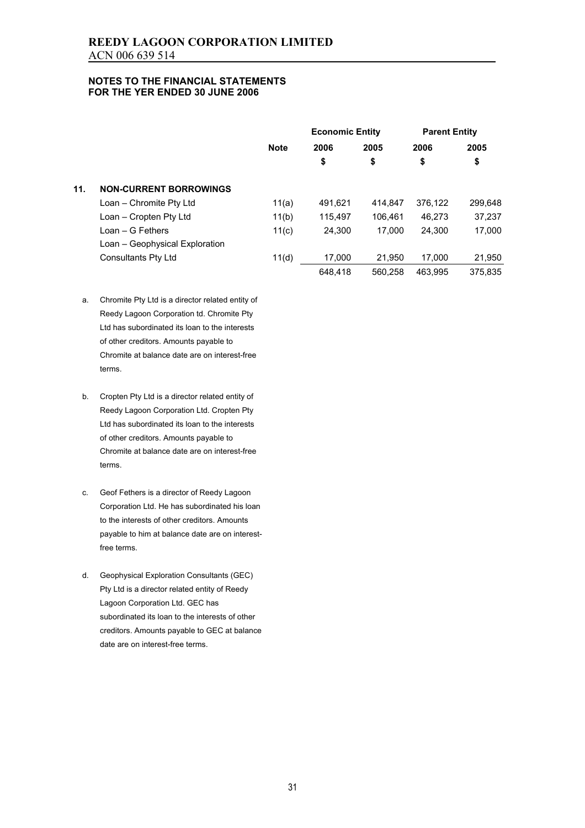|     |                                |             | <b>Economic Entity</b> |         | <b>Parent Entity</b> |         |
|-----|--------------------------------|-------------|------------------------|---------|----------------------|---------|
|     |                                | <b>Note</b> | 2006                   | 2005    | 2006                 | 2005    |
|     |                                |             | \$                     | \$      | \$                   | \$      |
| 11. | <b>NON-CURRENT BORROWINGS</b>  |             |                        |         |                      |         |
|     | Loan - Chromite Pty Ltd        | 11(a)       | 491,621                | 414.847 | 376.122              | 299,648 |
|     | Loan - Cropten Pty Ltd         | 11(b)       | 115.497                | 106.461 | 46.273               | 37,237  |
|     | Loan – G Fethers               | 11(c)       | 24.300                 | 17.000  | 24,300               | 17,000  |
|     | Loan - Geophysical Exploration |             |                        |         |                      |         |
|     | Consultants Pty Ltd            | 11(d)       | 17.000                 | 21.950  | 17.000               | 21,950  |
|     |                                |             | 648.418                | 560.258 | 463.995              | 375.835 |

- a. Chromite Pty Ltd is a director related entity of Reedy Lagoon Corporation td. Chromite Pty Ltd has subordinated its loan to the interests of other creditors. Amounts payable to Chromite at balance date are on interest-free terms.
- b. Cropten Pty Ltd is a director related entity of Reedy Lagoon Corporation Ltd. Cropten Pty Ltd has subordinated its loan to the interests of other creditors. Amounts payable to Chromite at balance date are on interest-free terms.
- c. Geof Fethers is a director of Reedy Lagoon Corporation Ltd. He has subordinated his loan to the interests of other creditors. Amounts payable to him at balance date are on interestfree terms.
- d. Geophysical Exploration Consultants (GEC) Pty Ltd is a director related entity of Reedy Lagoon Corporation Ltd. GEC has subordinated its loan to the interests of other creditors. Amounts payable to GEC at balance date are on interest-free terms.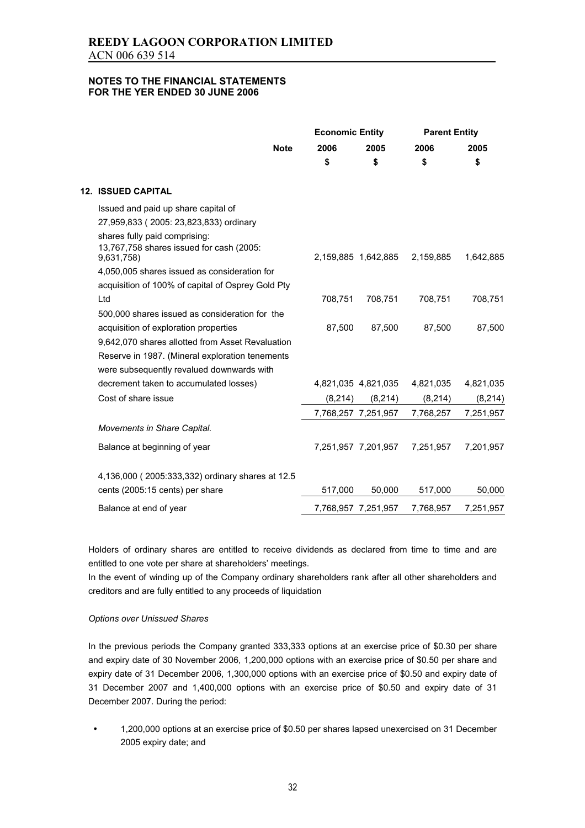|                                                                                                   | <b>Economic Entity</b> |                     | <b>Parent Entity</b> |           |
|---------------------------------------------------------------------------------------------------|------------------------|---------------------|----------------------|-----------|
| <b>Note</b>                                                                                       | 2006                   | 2005                | 2006                 | 2005      |
|                                                                                                   | \$                     | \$                  | \$                   | \$        |
| <b>12. ISSUED CAPITAL</b>                                                                         |                        |                     |                      |           |
| Issued and paid up share capital of<br>27,959,833 (2005: 23,823,833) ordinary                     |                        |                     |                      |           |
| shares fully paid comprising:<br>13,767,758 shares issued for cash (2005:<br>9,631,758)           |                        | 2,159,885 1,642,885 | 2,159,885            | 1,642,885 |
| 4,050,005 shares issued as consideration for<br>acquisition of 100% of capital of Osprey Gold Pty |                        |                     |                      |           |
| Ltd                                                                                               | 708,751                | 708,751             | 708,751              | 708,751   |
| 500,000 shares issued as consideration for the                                                    |                        |                     |                      |           |
| acquisition of exploration properties                                                             | 87,500                 | 87,500              | 87,500               | 87,500    |
| 9,642,070 shares allotted from Asset Revaluation                                                  |                        |                     |                      |           |
| Reserve in 1987. (Mineral exploration tenements                                                   |                        |                     |                      |           |
| were subsequently revalued downwards with                                                         |                        |                     |                      |           |
| decrement taken to accumulated losses)                                                            |                        | 4,821,035 4,821,035 | 4,821,035            | 4,821,035 |
| Cost of share issue                                                                               | (8, 214)               | (8, 214)            | (8, 214)             | (8, 214)  |
|                                                                                                   |                        | 7,768,257 7,251,957 | 7,768,257            | 7,251,957 |
| Movements in Share Capital.                                                                       |                        |                     |                      |           |
| Balance at beginning of year                                                                      |                        | 7,251,957 7,201,957 | 7,251,957            | 7,201,957 |
| 4,136,000 (2005:333,332) ordinary shares at 12.5                                                  |                        |                     |                      |           |
| cents (2005:15 cents) per share                                                                   | 517,000                | 50,000              | 517,000              | 50,000    |
| Balance at end of year                                                                            |                        | 7,768,957 7,251,957 | 7,768,957            | 7,251,957 |

Holders of ordinary shares are entitled to receive dividends as declared from time to time and are entitled to one vote per share at shareholders' meetings.

In the event of winding up of the Company ordinary shareholders rank after all other shareholders and creditors and are fully entitled to any proceeds of liquidation

#### *Options over Unissued Shares*

In the previous periods the Company granted 333,333 options at an exercise price of \$0.30 per share and expiry date of 30 November 2006, 1,200,000 options with an exercise price of \$0.50 per share and expiry date of 31 December 2006, 1,300,000 options with an exercise price of \$0.50 and expiry date of 31 December 2007 and 1,400,000 options with an exercise price of \$0.50 and expiry date of 31 December 2007. During the period:

• 1,200,000 options at an exercise price of \$0.50 per shares lapsed unexercised on 31 December 2005 expiry date; and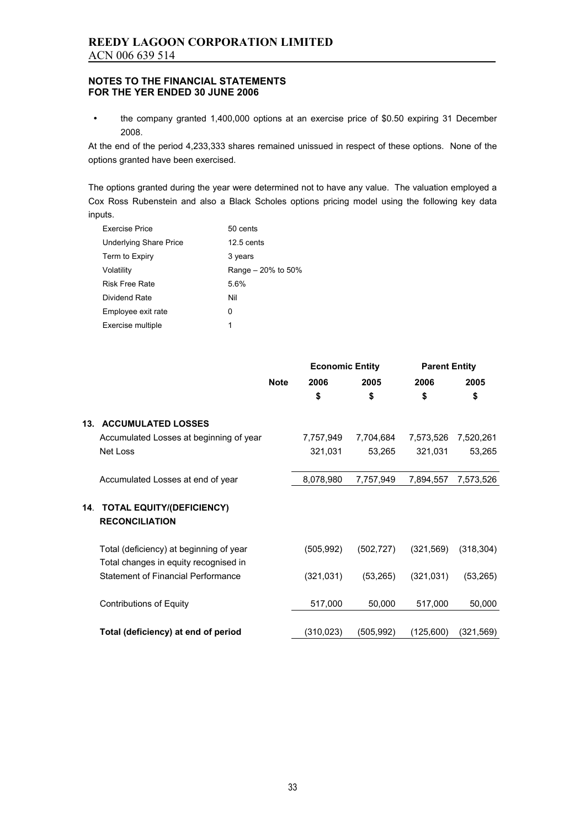• the company granted 1,400,000 options at an exercise price of \$0.50 expiring 31 December 2008.

At the end of the period 4,233,333 shares remained unissued in respect of these options. None of the options granted have been exercised.

The options granted during the year were determined not to have any value. The valuation employed a Cox Ross Rubenstein and also a Black Scholes options pricing model using the following key data inputs.

| <b>Exercise Price</b>         | 50 cents             |
|-------------------------------|----------------------|
| <b>Underlying Share Price</b> | $12.5$ cents         |
| Term to Expiry                | 3 years              |
| Volatility                    | Range $-20\%$ to 50% |
| <b>Risk Free Rate</b>         | 5.6%                 |
| Dividend Rate                 | Nil                  |
| Employee exit rate            | 0                    |
| Exercise multiple             | 1                    |

|     |                                                                                  |             | <b>Economic Entity</b> |            | <b>Parent Entity</b> |            |
|-----|----------------------------------------------------------------------------------|-------------|------------------------|------------|----------------------|------------|
|     |                                                                                  | <b>Note</b> | 2006                   | 2005       | 2006                 | 2005       |
|     |                                                                                  |             | \$                     | \$         | \$                   | \$         |
| 13. | <b>ACCUMULATED LOSSES</b>                                                        |             |                        |            |                      |            |
|     | Accumulated Losses at beginning of year                                          |             | 7,757,949              | 7,704,684  | 7,573,526            | 7,520,261  |
|     | Net Loss                                                                         |             | 321,031                | 53,265     | 321,031              | 53,265     |
|     | Accumulated Losses at end of year                                                |             | 8,078,980              | 7,757,949  | 7,894,557            | 7,573,526  |
| 14. | <b>TOTAL EQUITY/(DEFICIENCY)</b><br><b>RECONCILIATION</b>                        |             |                        |            |                      |            |
|     | Total (deficiency) at beginning of year<br>Total changes in equity recognised in |             | (505, 992)             | (502, 727) | (321, 569)           | (318, 304) |
|     | Statement of Financial Performance                                               |             | (321, 031)             | (53, 265)  | (321, 031)           | (53, 265)  |
|     | <b>Contributions of Equity</b>                                                   |             | 517,000                | 50,000     | 517,000              | 50,000     |
|     | Total (deficiency) at end of period                                              |             | (310,023)              | (505,992)  | (125,600)            | (321, 569) |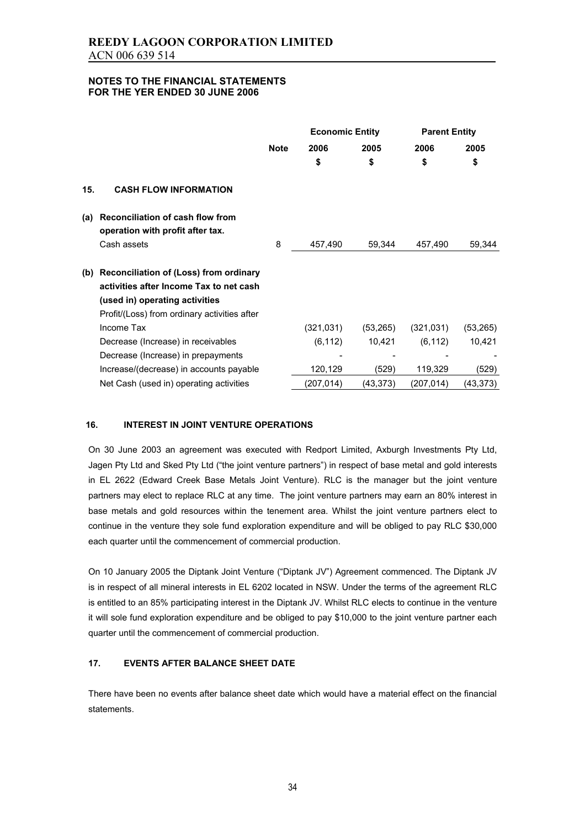|     |                                                                      |             | <b>Economic Entity</b> |           | <b>Parent Entity</b> |           |
|-----|----------------------------------------------------------------------|-------------|------------------------|-----------|----------------------|-----------|
|     |                                                                      | <b>Note</b> | 2006                   | 2005      | 2006                 | 2005      |
|     |                                                                      |             | \$                     | \$        | \$                   | \$        |
| 15. | <b>CASH FLOW INFORMATION</b>                                         |             |                        |           |                      |           |
| (a) | Reconciliation of cash flow from<br>operation with profit after tax. |             |                        |           |                      |           |
|     | Cash assets                                                          | 8           | 457,490                | 59,344    | 457,490              | 59,344    |
| (b) | Reconciliation of (Loss) from ordinary                               |             |                        |           |                      |           |
|     | activities after Income Tax to net cash                              |             |                        |           |                      |           |
|     | (used in) operating activities                                       |             |                        |           |                      |           |
|     | Profit/(Loss) from ordinary activities after                         |             |                        |           |                      |           |
|     | Income Tax                                                           |             | (321, 031)             | (53, 265) | (321, 031)           | (53, 265) |
|     | Decrease (Increase) in receivables                                   |             | (6, 112)               | 10,421    | (6, 112)             | 10,421    |
|     | Decrease (Increase) in prepayments                                   |             |                        |           |                      |           |
|     | Increase/(decrease) in accounts payable                              |             | 120,129                | (529)     | 119,329              | (529)     |
|     | Net Cash (used in) operating activities                              |             | (207, 014)             | (43,373)  | (207,014)            | (43,373)  |

#### **16. INTEREST IN JOINT VENTURE OPERATIONS**

On 30 June 2003 an agreement was executed with Redport Limited, Axburgh Investments Pty Ltd, Jagen Pty Ltd and Sked Pty Ltd ("the joint venture partners") in respect of base metal and gold interests in EL 2622 (Edward Creek Base Metals Joint Venture). RLC is the manager but the joint venture partners may elect to replace RLC at any time. The joint venture partners may earn an 80% interest in base metals and gold resources within the tenement area. Whilst the joint venture partners elect to continue in the venture they sole fund exploration expenditure and will be obliged to pay RLC \$30,000 each quarter until the commencement of commercial production.

On 10 January 2005 the Diptank Joint Venture ("Diptank JV") Agreement commenced. The Diptank JV is in respect of all mineral interests in EL 6202 located in NSW. Under the terms of the agreement RLC is entitled to an 85% participating interest in the Diptank JV. Whilst RLC elects to continue in the venture it will sole fund exploration expenditure and be obliged to pay \$10,000 to the joint venture partner each quarter until the commencement of commercial production.

### **17. EVENTS AFTER BALANCE SHEET DATE**

There have been no events after balance sheet date which would have a material effect on the financial statements.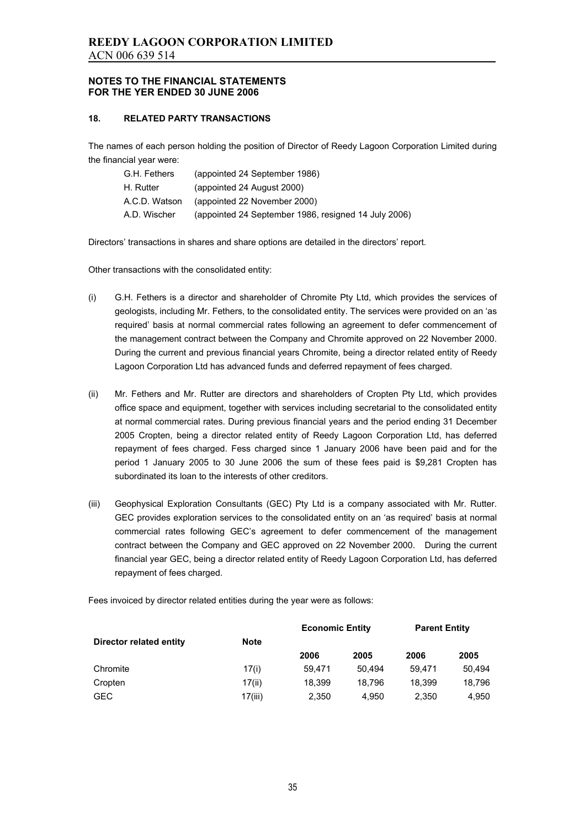#### **18. RELATED PARTY TRANSACTIONS**

The names of each person holding the position of Director of Reedy Lagoon Corporation Limited during the financial year were:

| G.H. Fethers  | (appointed 24 September 1986)                        |
|---------------|------------------------------------------------------|
| H. Rutter     | (appointed 24 August 2000)                           |
| A.C.D. Watson | (appointed 22 November 2000)                         |
| A.D. Wischer  | (appointed 24 September 1986, resigned 14 July 2006) |

Directors' transactions in shares and share options are detailed in the directors' report.

Other transactions with the consolidated entity:

- (i) G.H. Fethers is a director and shareholder of Chromite Pty Ltd, which provides the services of geologists, including Mr. Fethers, to the consolidated entity. The services were provided on an 'as required' basis at normal commercial rates following an agreement to defer commencement of the management contract between the Company and Chromite approved on 22 November 2000. During the current and previous financial years Chromite, being a director related entity of Reedy Lagoon Corporation Ltd has advanced funds and deferred repayment of fees charged.
- (ii) Mr. Fethers and Mr. Rutter are directors and shareholders of Cropten Pty Ltd, which provides office space and equipment, together with services including secretarial to the consolidated entity at normal commercial rates. During previous financial years and the period ending 31 December 2005 Cropten, being a director related entity of Reedy Lagoon Corporation Ltd, has deferred repayment of fees charged. Fess charged since 1 January 2006 have been paid and for the period 1 January 2005 to 30 June 2006 the sum of these fees paid is \$9,281 Cropten has subordinated its loan to the interests of other creditors.
- (iii) Geophysical Exploration Consultants (GEC) Pty Ltd is a company associated with Mr. Rutter. GEC provides exploration services to the consolidated entity on an 'as required' basis at normal commercial rates following GEC's agreement to defer commencement of the management contract between the Company and GEC approved on 22 November 2000. During the current financial year GEC, being a director related entity of Reedy Lagoon Corporation Ltd, has deferred repayment of fees charged.

Fees invoiced by director related entities during the year were as follows:

|                         |             | <b>Economic Entity</b> |        | <b>Parent Entity</b> |        |  |
|-------------------------|-------------|------------------------|--------|----------------------|--------|--|
| Director related entity | <b>Note</b> |                        |        |                      |        |  |
|                         |             | 2006                   | 2005   | 2006                 | 2005   |  |
| Chromite                | 17(i)       | 59.471                 | 50.494 | 59.471               | 50.494 |  |
| Cropten                 | 17(ii)      | 18.399                 | 18.796 | 18.399               | 18,796 |  |
| <b>GEC</b>              | 17(iii)     | 2,350                  | 4.950  | 2,350                | 4,950  |  |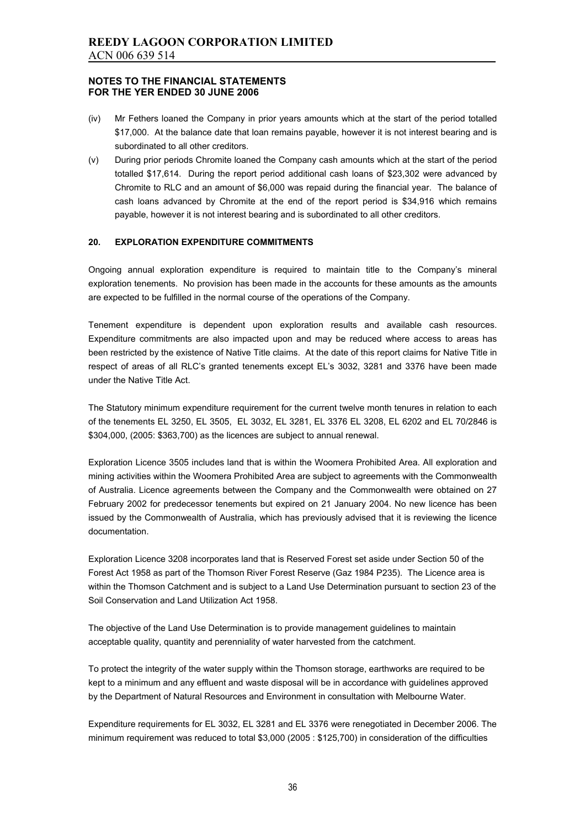- (iv) Mr Fethers loaned the Company in prior years amounts which at the start of the period totalled \$17,000. At the balance date that loan remains payable, however it is not interest bearing and is subordinated to all other creditors.
- (v) During prior periods Chromite loaned the Company cash amounts which at the start of the period totalled \$17,614. During the report period additional cash loans of \$23,302 were advanced by Chromite to RLC and an amount of \$6,000 was repaid during the financial year. The balance of cash loans advanced by Chromite at the end of the report period is \$34,916 which remains payable, however it is not interest bearing and is subordinated to all other creditors.

#### **20. EXPLORATION EXPENDITURE COMMITMENTS**

Ongoing annual exploration expenditure is required to maintain title to the Company's mineral exploration tenements. No provision has been made in the accounts for these amounts as the amounts are expected to be fulfilled in the normal course of the operations of the Company.

Tenement expenditure is dependent upon exploration results and available cash resources. Expenditure commitments are also impacted upon and may be reduced where access to areas has been restricted by the existence of Native Title claims. At the date of this report claims for Native Title in respect of areas of all RLC's granted tenements except EL's 3032, 3281 and 3376 have been made under the Native Title Act.

The Statutory minimum expenditure requirement for the current twelve month tenures in relation to each of the tenements EL 3250, EL 3505, EL 3032, EL 3281, EL 3376 EL 3208, EL 6202 and EL 70/2846 is \$304,000, (2005: \$363,700) as the licences are subject to annual renewal.

Exploration Licence 3505 includes land that is within the Woomera Prohibited Area. All exploration and mining activities within the Woomera Prohibited Area are subject to agreements with the Commonwealth of Australia. Licence agreements between the Company and the Commonwealth were obtained on 27 February 2002 for predecessor tenements but expired on 21 January 2004. No new licence has been issued by the Commonwealth of Australia, which has previously advised that it is reviewing the licence documentation.

Exploration Licence 3208 incorporates land that is Reserved Forest set aside under Section 50 of the Forest Act 1958 as part of the Thomson River Forest Reserve (Gaz 1984 P235). The Licence area is within the Thomson Catchment and is subject to a Land Use Determination pursuant to section 23 of the Soil Conservation and Land Utilization Act 1958.

The objective of the Land Use Determination is to provide management guidelines to maintain acceptable quality, quantity and perenniality of water harvested from the catchment.

To protect the integrity of the water supply within the Thomson storage, earthworks are required to be kept to a minimum and any effluent and waste disposal will be in accordance with guidelines approved by the Department of Natural Resources and Environment in consultation with Melbourne Water.

Expenditure requirements for EL 3032, EL 3281 and EL 3376 were renegotiated in December 2006. The minimum requirement was reduced to total \$3,000 (2005 : \$125,700) in consideration of the difficulties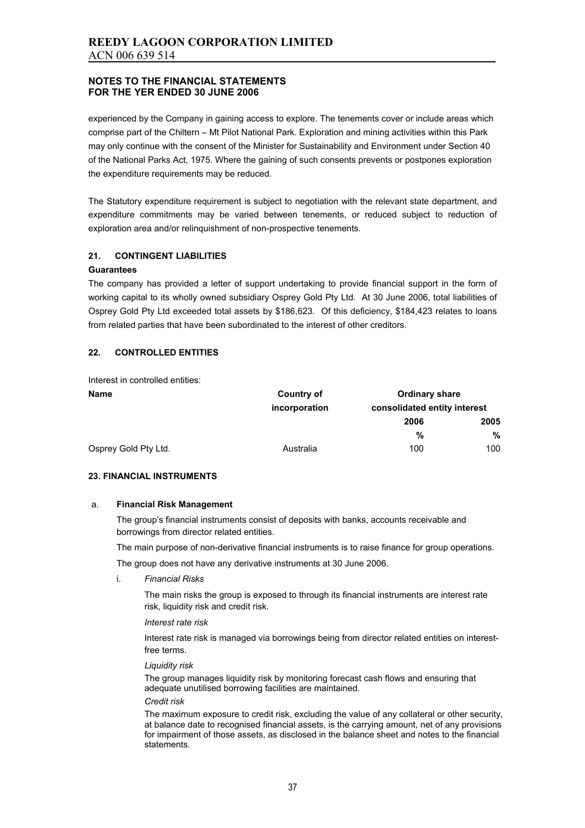experienced by the Company in gaining access to explore. The tenements cover or include areas which comprise part of the Chiltern – Mt Pilot National Park. Exploration and mining activities within this Park may only continue with the consent of the Minister for Sustainability and Environment under Section 40 of the National Parks Act, 1975. Where the gaining of such consents prevents or postpones exploration the expenditure requirements may be reduced.

The Statutory expenditure requirement is subject to negotiation with the relevant state department, and expenditure commitments may be varied between tenements, or reduced subject to reduction of exploration area and/or relinquishment of non-prospective tenements.

### **21. CONTINGENT LIABILITIES**

#### **Guarantees**

The company has provided a letter of support undertaking to provide financial support in the form of working capital to its wholly owned subsidiary Osprey Gold Pty Ltd. At 30 June 2006, total liabilities of Osprey Gold Pty Ltd exceeded total assets by \$186,623. Of this deficiency, \$184,423 relates to loans from related parties that have been subordinated to the interest of other creditors.

### **22. CONTROLLED ENTITIES**

Interest in controlled entities:

| <b>Name</b>          | Country of    | <b>Ordinary share</b>        |      |  |  |
|----------------------|---------------|------------------------------|------|--|--|
|                      | incorporation | consolidated entity interest |      |  |  |
|                      |               | 2006                         | 2005 |  |  |
|                      |               | %                            | %    |  |  |
| Osprey Gold Pty Ltd. | Australia     | 100                          | 100  |  |  |

#### **23. FINANCIAL INSTRUMENTS**

#### a. **Financial Risk Management**

 The group's financial instruments consist of deposits with banks, accounts receivable and borrowings from director related entities.

The main purpose of non-derivative financial instruments is to raise finance for group operations.

The group does not have any derivative instruments at 30 June 2006.

i. *Financial Risks* 

 The main risks the group is exposed to through its financial instruments are interest rate risk, liquidity risk and credit risk.

#### *Interest rate risk*

 Interest rate risk is managed via borrowings being from director related entities on interestfree terms.

#### *Liquidity risk*

 The group manages liquidity risk by monitoring forecast cash flows and ensuring that adequate unutilised borrowing facilities are maintained.

#### *Credit risk*

 The maximum exposure to credit risk, excluding the value of any collateral or other security, at balance date to recognised financial assets, is the carrying amount, net of any provisions for impairment of those assets, as disclosed in the balance sheet and notes to the financial statements.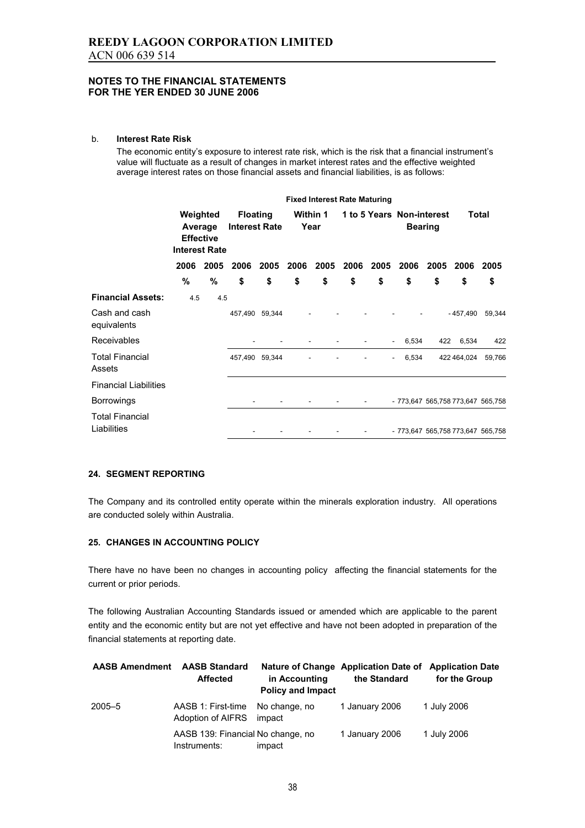#### b. **Interest Rate Risk**

The economic entity's exposure to interest rate risk, which is the risk that a financial instrument's value will fluctuate as a result of changes in market interest rates and the effective weighted average interest rates on those financial assets and financial liabilities, is as follows:

|                                       | <b>Fixed Interest Rate Maturing</b>                             |           |                                         |                |      |                         |      |                          |                                             |      |             |              |
|---------------------------------------|-----------------------------------------------------------------|-----------|-----------------------------------------|----------------|------|-------------------------|------|--------------------------|---------------------------------------------|------|-------------|--------------|
|                                       | Weighted<br>Average<br><b>Effective</b><br><b>Interest Rate</b> |           | <b>Floating</b><br><b>Interest Rate</b> |                |      | <b>Within 1</b><br>Year |      |                          | 1 to 5 Years Non-interest<br><b>Bearing</b> |      |             | <b>Total</b> |
|                                       |                                                                 | 2006 2005 | 2006                                    | 2005           | 2006 | 2005                    | 2006 | 2005                     | 2006                                        | 2005 | 2006        | 2005         |
|                                       | %                                                               | %         | \$                                      | \$             | \$   | \$                      | \$   | \$                       | \$                                          | \$   | \$          | \$           |
| <b>Financial Assets:</b>              | 4.5                                                             | 4.5       |                                         |                |      |                         |      |                          |                                             |      |             |              |
| Cash and cash<br>equivalents          |                                                                 |           |                                         | 457,490 59,344 |      |                         |      |                          |                                             |      | $-457.490$  | 59,344       |
| Receivables                           |                                                                 |           |                                         |                |      |                         |      |                          | 6,534<br>$\overline{\phantom{a}}$           | 422  | 6,534       | 422          |
| <b>Total Financial</b><br>Assets      |                                                                 |           |                                         | 457,490 59,344 |      |                         |      | $\overline{\phantom{a}}$ | 6,534                                       |      | 422 464,024 | 59,766       |
| <b>Financial Liabilities</b>          |                                                                 |           |                                         |                |      |                         |      |                          |                                             |      |             |              |
| <b>Borrowings</b>                     |                                                                 |           |                                         |                |      |                         |      |                          | - 773,647 565,758 773,647 565,758           |      |             |              |
| <b>Total Financial</b><br>Liabilities |                                                                 |           |                                         |                |      |                         |      |                          | - 773,647 565,758 773,647 565,758           |      |             |              |

#### **24. SEGMENT REPORTING**

The Company and its controlled entity operate within the minerals exploration industry. All operations are conducted solely within Australia.

#### **25. CHANGES IN ACCOUNTING POLICY**

There have no have been no changes in accounting policy affecting the financial statements for the current or prior periods.

The following Australian Accounting Standards issued or amended which are applicable to the parent entity and the economic entity but are not yet effective and have not been adopted in preparation of the financial statements at reporting date.

| <b>AASB Amendment</b> | <b>AASB Standard</b><br><b>Affected</b>           | in Accounting<br><b>Policy and Impact</b> | Nature of Change Application Date of Application Date<br>the Standard | for the Group |
|-----------------------|---------------------------------------------------|-------------------------------------------|-----------------------------------------------------------------------|---------------|
| $2005 - 5$            | AASB 1: First-time<br>Adoption of AIFRS           | No change, no<br>impact                   | 1 January 2006                                                        | 1 July 2006   |
|                       | AASB 139: Financial No change, no<br>Instruments: | impact                                    | 1 January 2006                                                        | 1 July 2006   |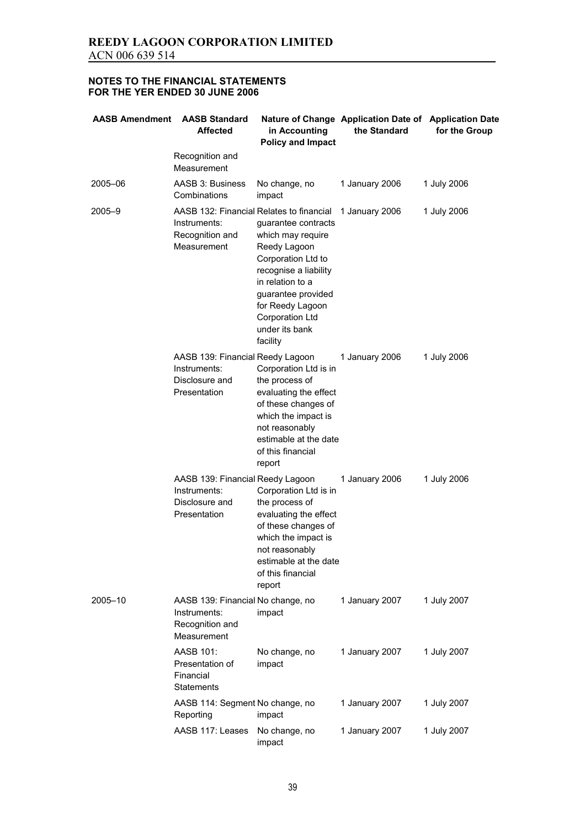| <b>AASB Amendment</b> | <b>AASB Standard</b><br><b>Affected</b>                                                    | in Accounting<br><b>Policy and Impact</b>                                                                                                                                                                              | Nature of Change Application Date of Application Date<br>the Standard | for the Group |
|-----------------------|--------------------------------------------------------------------------------------------|------------------------------------------------------------------------------------------------------------------------------------------------------------------------------------------------------------------------|-----------------------------------------------------------------------|---------------|
|                       | Recognition and<br>Measurement                                                             |                                                                                                                                                                                                                        |                                                                       |               |
| 2005-06               | AASB 3: Business<br>Combinations                                                           | No change, no<br>impact                                                                                                                                                                                                | 1 January 2006                                                        | 1 July 2006   |
| $2005 - 9$            | AASB 132: Financial Relates to financial<br>Instruments:<br>Recognition and<br>Measurement | guarantee contracts<br>which may require<br>Reedy Lagoon<br>Corporation Ltd to<br>recognise a liability<br>in relation to a<br>guarantee provided<br>for Reedy Lagoon<br>Corporation Ltd<br>under its bank<br>facility | 1 January 2006                                                        | 1 July 2006   |
|                       | AASB 139: Financial Reedy Lagoon<br>Instruments:<br>Disclosure and<br>Presentation         | Corporation Ltd is in<br>the process of<br>evaluating the effect<br>of these changes of<br>which the impact is<br>not reasonably<br>estimable at the date<br>of this financial<br>report                               | 1 January 2006                                                        | 1 July 2006   |
|                       | AASB 139: Financial Reedy Lagoon<br>Instruments:<br>Disclosure and<br>Presentation         | Corporation Ltd is in<br>the process of<br>evaluating the effect<br>of these changes of<br>which the impact is<br>not reasonably<br>estimable at the date<br>of this financial<br>report                               | 1 January 2006                                                        | 1 July 2006   |
| 2005-10               | AASB 139: Financial No change, no<br>Instruments:<br>Recognition and<br>Measurement        | impact                                                                                                                                                                                                                 | 1 January 2007                                                        | 1 July 2007   |
|                       | AASB 101:<br>Presentation of<br>Financial<br><b>Statements</b>                             | No change, no<br>impact                                                                                                                                                                                                | 1 January 2007                                                        | 1 July 2007   |
|                       | AASB 114: Segment No change, no<br>Reporting                                               | impact                                                                                                                                                                                                                 | 1 January 2007                                                        | 1 July 2007   |
|                       | AASB 117: Leases                                                                           | No change, no<br>impact                                                                                                                                                                                                | 1 January 2007                                                        | 1 July 2007   |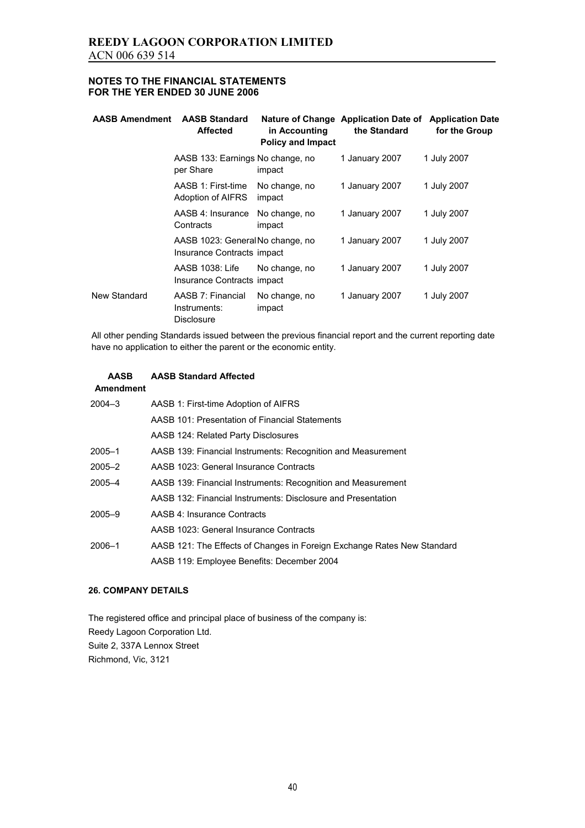| <b>AASB Amendment</b> | <b>AASB Standard</b><br><b>Affected</b>                        | in Accounting<br><b>Policy and Impact</b> | Nature of Change Application Date of<br>the Standard | <b>Application Date</b><br>for the Group |
|-----------------------|----------------------------------------------------------------|-------------------------------------------|------------------------------------------------------|------------------------------------------|
|                       | AASB 133: Earnings No change, no<br>per Share                  | impact                                    | 1 January 2007                                       | 1 July 2007                              |
|                       | AASB 1: First-time<br>Adoption of AIFRS                        | No change, no<br>impact                   | 1 January 2007                                       | 1 July 2007                              |
|                       | AASB 4: Insurance<br>Contracts                                 | No change, no<br>impact                   | 1 January 2007                                       | 1 July 2007                              |
|                       | AASB 1023: General No change, no<br>Insurance Contracts impact |                                           | 1 January 2007                                       | 1 July 2007                              |
|                       | AASB 1038: Life<br>Insurance Contracts impact                  | No change, no                             | 1 January 2007                                       | 1 July 2007                              |
| New Standard          | AASB 7: Financial<br>Instruments:<br>Disclosure                | No change, no<br>impact                   | 1 January 2007                                       | 1 July 2007                              |

All other pending Standards issued between the previous financial report and the current reporting date have no application to either the parent or the economic entity.

#### **AASB AASB Standard Affected**

## **Amendment**

| $2004 - 3$ | AASB 1: First-time Adoption of AIFRS                                    |
|------------|-------------------------------------------------------------------------|
|            | AASB 101: Presentation of Financial Statements                          |
|            | AASB 124: Related Party Disclosures                                     |
| $2005 - 1$ | AASB 139: Financial Instruments: Recognition and Measurement            |
| $2005 - 2$ | AASB 1023: General Insurance Contracts                                  |
| $2005 - 4$ | AASB 139: Financial Instruments: Recognition and Measurement            |
|            | AASB 132: Financial Instruments: Disclosure and Presentation            |
| $2005 - 9$ | AASB 4: Insurance Contracts                                             |
|            | AASB 1023: General Insurance Contracts                                  |
| $2006 - 1$ | AASB 121: The Effects of Changes in Foreign Exchange Rates New Standard |
|            | AASB 119: Employee Benefits: December 2004                              |

### **26. COMPANY DETAILS**

The registered office and principal place of business of the company is: Reedy Lagoon Corporation Ltd. Suite 2, 337A Lennox Street Richmond, Vic, 3121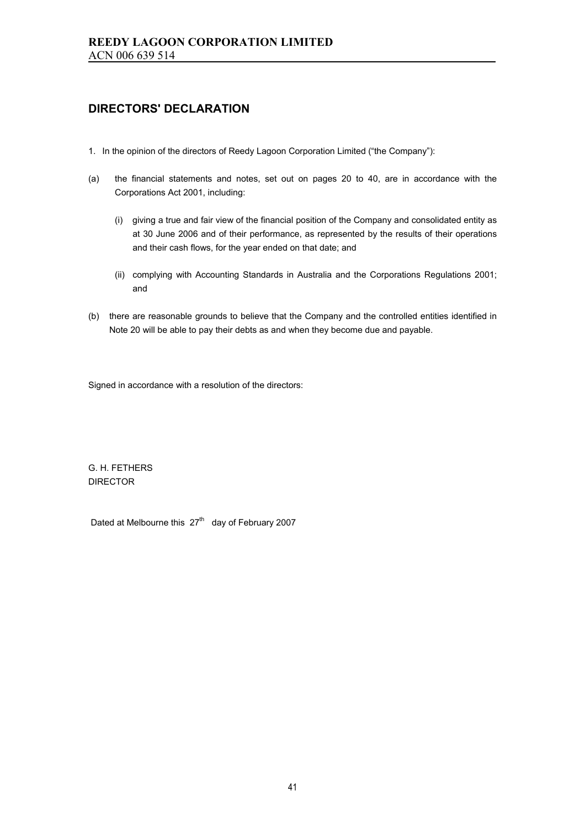## **DIRECTORS' DECLARATION**

- 1. In the opinion of the directors of Reedy Lagoon Corporation Limited ("the Company"):
- (a) the financial statements and notes, set out on pages 20 to 40, are in accordance with the Corporations Act 2001, including:
	- (i) giving a true and fair view of the financial position of the Company and consolidated entity as at 30 June 2006 and of their performance, as represented by the results of their operations and their cash flows, for the year ended on that date; and
	- (ii) complying with Accounting Standards in Australia and the Corporations Regulations 2001; and
- (b) there are reasonable grounds to believe that the Company and the controlled entities identified in Note 20 will be able to pay their debts as and when they become due and payable.

Signed in accordance with a resolution of the directors:

G. H. FETHERS DIRECTOR

Dated at Melbourne this  $27<sup>th</sup>$  day of February 2007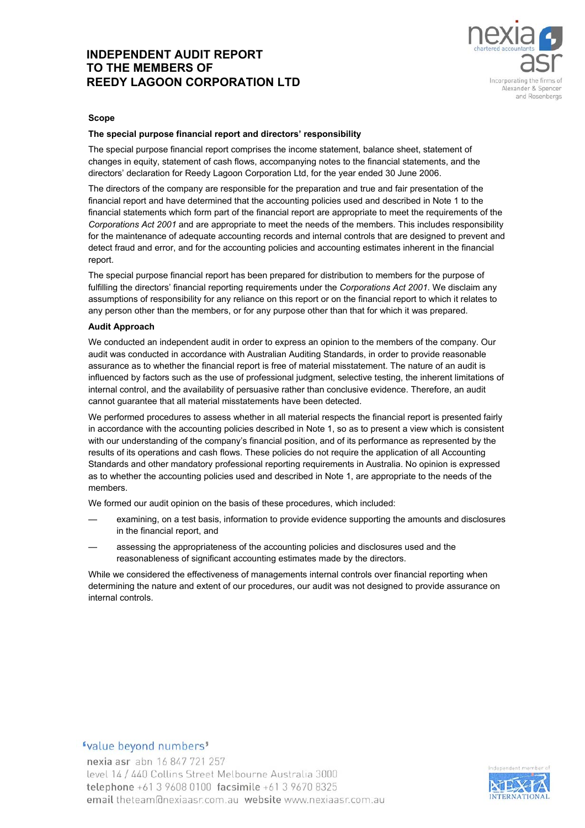## **INDEPENDENT AUDIT REPORT TO THE MEMBERS OF REEDY LAGOON CORPORATION LTD**



#### **Scope**

#### **The special purpose financial report and directors' responsibility**

The special purpose financial report comprises the income statement, balance sheet, statement of changes in equity, statement of cash flows, accompanying notes to the financial statements, and the directors' declaration for Reedy Lagoon Corporation Ltd, for the year ended 30 June 2006.

The directors of the company are responsible for the preparation and true and fair presentation of the financial report and have determined that the accounting policies used and described in Note 1 to the financial statements which form part of the financial report are appropriate to meet the requirements of the *Corporations Act 2001* and are appropriate to meet the needs of the members. This includes responsibility for the maintenance of adequate accounting records and internal controls that are designed to prevent and detect fraud and error, and for the accounting policies and accounting estimates inherent in the financial report.

The special purpose financial report has been prepared for distribution to members for the purpose of fulfilling the directors' financial reporting requirements under the *Corporations Act 2001*. We disclaim any assumptions of responsibility for any reliance on this report or on the financial report to which it relates to any person other than the members, or for any purpose other than that for which it was prepared.

#### **Audit Approach**

We conducted an independent audit in order to express an opinion to the members of the company. Our audit was conducted in accordance with Australian Auditing Standards, in order to provide reasonable assurance as to whether the financial report is free of material misstatement. The nature of an audit is influenced by factors such as the use of professional judgment, selective testing, the inherent limitations of internal control, and the availability of persuasive rather than conclusive evidence. Therefore, an audit cannot guarantee that all material misstatements have been detected.

We performed procedures to assess whether in all material respects the financial report is presented fairly in accordance with the accounting policies described in Note 1, so as to present a view which is consistent with our understanding of the company's financial position, and of its performance as represented by the results of its operations and cash flows. These policies do not require the application of all Accounting Standards and other mandatory professional reporting requirements in Australia. No opinion is expressed as to whether the accounting policies used and described in Note 1, are appropriate to the needs of the members.

We formed our audit opinion on the basis of these procedures, which included:

- examining, on a test basis, information to provide evidence supporting the amounts and disclosures in the financial report, and
- assessing the appropriateness of the accounting policies and disclosures used and the reasonableness of significant accounting estimates made by the directors.

While we considered the effectiveness of managements internal controls over financial reporting when determining the nature and extent of our procedures, our audit was not designed to provide assurance on internal controls.

### "value beyond numbers"

nexia asr abn 16 847 721 257 level 14 / 440 Collins Street Melbourne Australia 3000 telephone +61 3 9608 0100 facsimile +61 3 9670 8325 email theteam@nexiaasr.com.au website www.nexiaasr.com.au

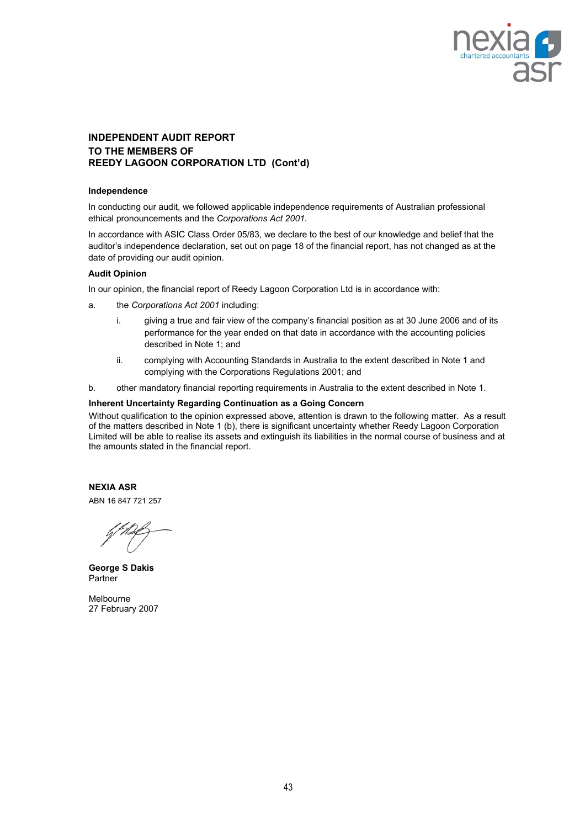

### **INDEPENDENT AUDIT REPORT TO THE MEMBERS OF REEDY LAGOON CORPORATION LTD (Cont'd)**

#### **Independence**

In conducting our audit, we followed applicable independence requirements of Australian professional ethical pronouncements and the *Corporations Act 2001*.

In accordance with ASIC Class Order 05/83, we declare to the best of our knowledge and belief that the auditor's independence declaration, set out on page 18 of the financial report, has not changed as at the date of providing our audit opinion.

#### **Audit Opinion**

In our opinion, the financial report of Reedy Lagoon Corporation Ltd is in accordance with:

- a. the *Corporations Act 2001* including:
	- i. giving a true and fair view of the company's financial position as at 30 June 2006 and of its performance for the year ended on that date in accordance with the accounting policies described in Note 1; and
	- ii. complying with Accounting Standards in Australia to the extent described in Note 1 and complying with the Corporations Regulations 2001; and
- b. other mandatory financial reporting requirements in Australia to the extent described in Note 1.

#### **Inherent Uncertainty Regarding Continuation as a Going Concern**

Without qualification to the opinion expressed above, attention is drawn to the following matter. As a result of the matters described in Note 1 (b), there is significant uncertainty whether Reedy Lagoon Corporation Limited will be able to realise its assets and extinguish its liabilities in the normal course of business and at the amounts stated in the financial report.

**NEXIA ASR** 

ABN 16 847 721 257

**George S Dakis**  Partner

Melbourne 27 February 2007